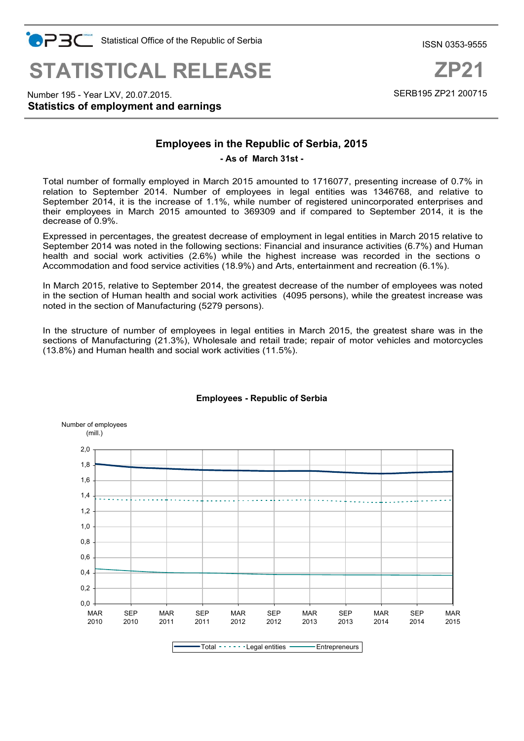

**Statistics of employment and earnings** Number 195 - Year LXV, 20.07.2015.

# **Employees in the Republic of Serbia, 2015**

**- As of March 31st -**

Total number of formally employed in March 2015 amounted to 1716077, presenting increase of 0.7% in relation to September 2014. Number of employees in legal entities was 1346768, and relative to September 2014, it is the increase of 1.1%, while number of registered unincorporated enterprises and their employees in March 2015 amounted to 369309 and if compared to September 2014, it is the decrease of 0.9%.

Expressed in percentages, the greatest decrease of employment in legal entities in March 2015 relative to September 2014 was noted in the following sections: Financial and insurance activities (6.7%) and Human health and social work activities (2.6%) while the highest increase was recorded in the sections o Accommodation and food service activities (18.9%) and Arts, entertainment and recreation (6.1%).

In March 2015, relative to September 2014, the greatest decrease of the number of employees was noted in the section of Human health and social work activities (4095 persons), while the greatest increase was noted in the section of Manufacturing (5279 persons).

In the structure of number of employees in legal entities in March 2015, the greatest share was in the sections of Manufacturing (21.3%), Wholesale and retail trade; repair of motor vehicles and motorcycles (13.8%) and Human health and social work activities (11.5%).



#### **Employees - Republic of Serbia**

ISSN 0353-9555

SERB195 ZP21 200715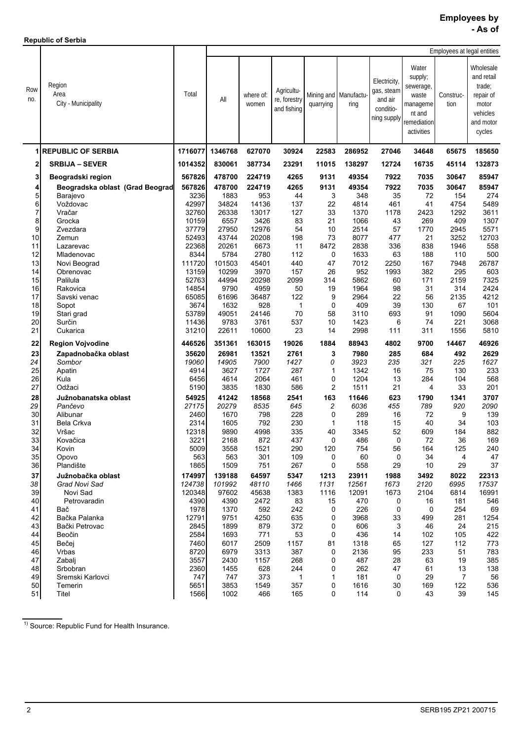**Republic of Serbia**

|            |                                       |                |               |                    |                                           |                |                               |                                                                   |                                                                                           |                   | Employees at legal entities                                                                |  |  |  |  |
|------------|---------------------------------------|----------------|---------------|--------------------|-------------------------------------------|----------------|-------------------------------|-------------------------------------------------------------------|-------------------------------------------------------------------------------------------|-------------------|--------------------------------------------------------------------------------------------|--|--|--|--|
| Row<br>no. | Region<br>Area<br>City - Municipality | Total          | All           | where of:<br>women | Agricultu-<br>re, forestry<br>and fishing | quarrying      | Mining and Manufactu-<br>ring | Electricity,<br>gas, steam<br>and air<br>conditio-<br>ning supply | Water<br>supply;<br>sewerage,<br>waste<br>manageme<br>nt and<br>remediation<br>activities | Construc-<br>tion | Wholesale<br>and retail<br>trade:<br>repair of<br>motor<br>vehicles<br>and motor<br>cycles |  |  |  |  |
|            | <b>REPUBLIC OF SERBIA</b>             | 1716077        | 1346768       | 627070             | 30924                                     | 22583          | 286952                        | 27046                                                             | 34648                                                                                     | 65675             | 185650                                                                                     |  |  |  |  |
| 2          | <b>SRBIJA - SEVER</b>                 | 1014352        | 830061        | 387734             | 23291                                     | 11015          | 138297                        | 12724                                                             | 16735                                                                                     | 45114             | 132873                                                                                     |  |  |  |  |
| 3          | Beogradski region                     | 567826         | 478700        | 224719             | 4265                                      | 9131           | 49354                         | 7922                                                              | 7035                                                                                      | 30647             | 85947                                                                                      |  |  |  |  |
| 4          | Beogradska oblast (Grad Beograd       | 567826         | 478700        | 224719             | 4265                                      | 9131           | 49354                         | 7922                                                              | 7035                                                                                      | 30647             | 85947                                                                                      |  |  |  |  |
| 5          | Barajevo                              | 3236           | 1883          | 953                | 44                                        | 3              | 348                           | 35                                                                | 72                                                                                        | 154               | 274                                                                                        |  |  |  |  |
| 6          | Voždovac                              | 42997          | 34824         | 14136              | 137                                       | 22             | 4814                          | 461                                                               | 41                                                                                        | 4754              | 5489                                                                                       |  |  |  |  |
| 7<br>8     | Vračar<br>Grocka                      | 32760<br>10159 | 26338<br>6557 | 13017<br>3426      | 127<br>83                                 | 33<br>21       | 1370<br>1066                  | 1178<br>43                                                        | 2423<br>269                                                                               | 1292<br>409       | 3611<br>1307                                                                               |  |  |  |  |
| 9          | Zvezdara                              | 37779          | 27950         | 12976              | 54                                        | 10             | 2514                          | 57                                                                | 1770                                                                                      | 2945              | 5571                                                                                       |  |  |  |  |
| 10         | Zemun                                 | 52493          | 43744         | 20208              | 198                                       | 73             | 8077                          | 477                                                               | 21                                                                                        | 3252              | 12703                                                                                      |  |  |  |  |
| 11         | Lazarevac                             | 22368          | 20261         | 6673               | 11                                        | 8472           | 2838                          | 336                                                               | 838                                                                                       | 1946              | 558                                                                                        |  |  |  |  |
| 12         | Mladenovac                            | 8344           | 5784          | 2780               | 112                                       | 0              | 1633                          | 63                                                                | 188                                                                                       | 110               | 500                                                                                        |  |  |  |  |
| 13         | Novi Beograd                          | 111720         | 101503        | 45401              | 440                                       | 47             | 7012                          | 2250                                                              | 167                                                                                       | 7948              | 26787                                                                                      |  |  |  |  |
| 14         | Obrenovac                             | 13159          | 10299         | 3970               | 157                                       | 26             | 952                           | 1993                                                              | 382                                                                                       | 295               | 603                                                                                        |  |  |  |  |
| 15         | Palilula                              | 52763          | 44994         | 20298              | 2099                                      | 314            | 5862                          | 60                                                                | 171                                                                                       | 2159              | 7325                                                                                       |  |  |  |  |
| 16         | Rakovica                              | 14854          | 9790          | 4959               | 50                                        | 19             | 1964                          | 98                                                                | 31                                                                                        | 314               | 2424                                                                                       |  |  |  |  |
| 17         | Savski venac                          | 65085          | 61696         | 36487              | 122                                       | 9              | 2964                          | 22                                                                | 56                                                                                        | 2135              | 4212                                                                                       |  |  |  |  |
| 18<br>19   | Sopot<br>Stari grad                   | 3674<br>53789  | 1632<br>49051 | 928<br>24146       | 1<br>70                                   | 0<br>58        | 409<br>3110                   | 39<br>693                                                         | 130<br>91                                                                                 | 67<br>1090        | 101<br>5604                                                                                |  |  |  |  |
| 20         | Surčin                                | 11436          | 9783          | 3761               | 537                                       | 10             | 1423                          | 6                                                                 | 74                                                                                        | 221               | 3068                                                                                       |  |  |  |  |
| 21         | Čukarica                              | 31210          | 22611         | 10600              | 23                                        | 14             | 2998                          | 111                                                               | 311                                                                                       | 1556              | 5810                                                                                       |  |  |  |  |
| 22         | <b>Region Vojvodine</b>               | 446526         | 351361        | 163015             | 19026                                     | 1884           | 88943                         | 4802                                                              | 9700                                                                                      | 14467             | 46926                                                                                      |  |  |  |  |
| 23         | Zapadnobačka oblast                   | 35620          | 26981         | 13521              | 2761                                      | 3              | 7980                          | 285                                                               | 684                                                                                       | 492               | 2629                                                                                       |  |  |  |  |
| 24         | Sombor                                | 19060          | 14905         | 7900               | 1427                                      | 0              | 3923                          | 235                                                               | 321                                                                                       | 225               | 1627                                                                                       |  |  |  |  |
| 25         | Apatin                                | 4914           | 3627          | 1727               | 287                                       | $\mathbf{1}$   | 1342                          | 16                                                                | 75                                                                                        | 130               | 233                                                                                        |  |  |  |  |
| 26         | Kula                                  | 6456           | 4614          | 2064               | 461                                       | 0              | 1204                          | 13                                                                | 284                                                                                       | 104               | 568                                                                                        |  |  |  |  |
| 27         | Odžaci                                | 5190           | 3835          | 1830               | 586                                       | $\overline{c}$ | 1511                          | 21                                                                | 4                                                                                         | 33                | 201                                                                                        |  |  |  |  |
| 28         | Južnobanatska oblast                  | 54925          | 41242         | 18568              | 2541                                      | 163            | 11646                         | 623                                                               | 1790                                                                                      | 1341              | 3707                                                                                       |  |  |  |  |
| 29         | Pančevo                               | 27175          | 20279         | 8535               | 645                                       | $\overline{c}$ | 6036                          | 455                                                               | 789                                                                                       | 920               | 2090                                                                                       |  |  |  |  |
| 30         | Alibunar                              | 2460           | 1670          | 798                | 228                                       | 0              | 289                           | 16                                                                | 72                                                                                        | 9                 | 139                                                                                        |  |  |  |  |
| 31<br>32   | <b>Bela Crkva</b><br>Vršac            | 2314<br>12318  | 1605<br>9890  | 792<br>4998        | 230<br>335                                | 1<br>40        | 118<br>3345                   | 15<br>52                                                          | 40<br>609                                                                                 | 34<br>184         | 103<br>882                                                                                 |  |  |  |  |
| 33         | Kovačica                              | 3221           | 2168          | 872                | 437                                       | 0              | 486                           | 0                                                                 | 72                                                                                        | 36                | 169                                                                                        |  |  |  |  |
| 34         | Kovin                                 | 5009           | 3558          | 1521               | 290                                       | 120            | 754                           | 56                                                                | 164                                                                                       | 125               | 240                                                                                        |  |  |  |  |
| 35         | Opovo                                 | 563            | 563           | 301                | 109                                       | 0              | 60                            | 0                                                                 | 34                                                                                        | 4                 | 47                                                                                         |  |  |  |  |
| 36         | Plandište                             | 1865           | 1509          | 751                | 267                                       | 0              | 558                           | 29                                                                | 10                                                                                        | 29                | 37                                                                                         |  |  |  |  |
| 37         | Južnobačka oblast                     | 174997         | 139188        | 64597              | 5347                                      | 1213           | 23911                         | 1988                                                              | 3492                                                                                      | 8022              | 22313                                                                                      |  |  |  |  |
| 38         | Grad Novi Sad                         | 124738         | 101992        | 48110              | 1466                                      | 1131           | 12561                         | 1673                                                              | 2120                                                                                      | 6995              | 17537                                                                                      |  |  |  |  |
| 39         | Novi Sad                              | 120348         | 97602         | 45638              | 1383                                      | 1116           | 12091                         | 1673                                                              | 2104                                                                                      | 6814              | 16991                                                                                      |  |  |  |  |
| 40         | Petrovaradin                          | 4390           | 4390          | 2472               | 83                                        | 15             | 470                           | 0                                                                 | 16                                                                                        | 181               | 546                                                                                        |  |  |  |  |
| 41         | Bač                                   | 1978           | 1370          | 592                | 242                                       | 0              | 226                           | 0                                                                 | 0                                                                                         | 254               | 69                                                                                         |  |  |  |  |
| 42         | Bačka Palanka                         | 12791          | 9751          | 4250               | 635                                       | 0              | 3968                          | 33                                                                | 499                                                                                       | 281               | 1254                                                                                       |  |  |  |  |
| 43         | Bački Petrovac                        | 2845           | 1899          | 879                | 372                                       | 0              | 606                           | 3                                                                 | 46                                                                                        | 24                | 215                                                                                        |  |  |  |  |
| 44         | Beočin                                | 2584<br>7460   | 1693          | 771                | 53                                        | 0              | 436                           | 14                                                                | 102                                                                                       | 105               | 422                                                                                        |  |  |  |  |
| 45<br>46   | Bečei<br>Vrbas                        | 8720           | 6017<br>6979  | 2509<br>3313       | 1157<br>387                               | 81<br>0        | 1318<br>2136                  | 65<br>95                                                          | 127<br>233                                                                                | 112<br>51         | 773<br>783                                                                                 |  |  |  |  |
| 47         | Zabalj                                | 3557           | 2430          | 1157               | 268                                       | 0              | 487                           | 28                                                                | 63                                                                                        | 19                | 385                                                                                        |  |  |  |  |
| 48         | Srbobran                              | 2360           | 1455          | 628                | 244                                       | 0              | 262                           | 47                                                                | 61                                                                                        | 13                | 138                                                                                        |  |  |  |  |
| 49         | Sremski Karlovci                      | 747            | 747           | 373                | 1                                         | 1              | 181                           | 0                                                                 | 29                                                                                        | 7                 | 56                                                                                         |  |  |  |  |
| 50         | Temerin                               | 5651           | 3853          | 1549               | 357                                       | 0              | 1616                          | 30                                                                | 169                                                                                       | 122               | 536                                                                                        |  |  |  |  |
| 51         | Titel                                 | 1566           | 1002          | 466                | 165                                       | 0              | 114                           | 0                                                                 | 43                                                                                        | 39                | 145                                                                                        |  |  |  |  |
|            |                                       |                |               |                    |                                           |                |                               |                                                                   |                                                                                           |                   |                                                                                            |  |  |  |  |

<sup>1)</sup> Source: Republic Fund for Health Insurance.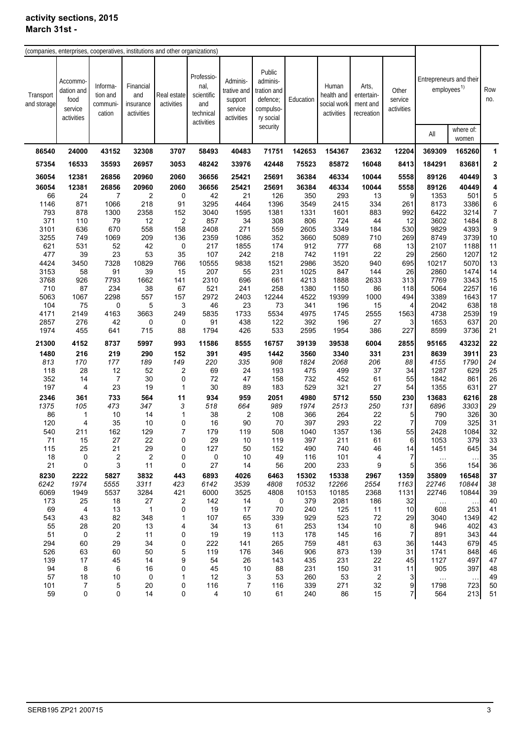| (companies, enterprises, cooperatives, institutions and other organizations) |                                                        |                                            |                                             |                           |                                                                    |                                                             |                                                                         |            |                                                  |                                               |                                |                                                    |                    |                |
|------------------------------------------------------------------------------|--------------------------------------------------------|--------------------------------------------|---------------------------------------------|---------------------------|--------------------------------------------------------------------|-------------------------------------------------------------|-------------------------------------------------------------------------|------------|--------------------------------------------------|-----------------------------------------------|--------------------------------|----------------------------------------------------|--------------------|----------------|
|                                                                              |                                                        |                                            |                                             |                           |                                                                    |                                                             |                                                                         |            |                                                  |                                               |                                |                                                    |                    |                |
| Transport<br>and storage                                                     | Accommo<br>dation and<br>food<br>service<br>activities | Informa-<br>tion and<br>communi-<br>cation | Financial<br>and<br>insurance<br>activities | Real estate<br>activities | Professio-<br>nal,<br>scientific<br>and<br>technical<br>activities | Adminis-<br>trative and<br>support<br>service<br>activities | Public<br>adminis-<br>tration and<br>defence;<br>compulso-<br>ry social | Education  | Human<br>health and<br>social work<br>activities | Arts,<br>entertain-<br>ment and<br>recreation | Other<br>service<br>activities | Entrepreneurs and their<br>employees <sup>1)</sup> |                    | Row<br>no.     |
|                                                                              |                                                        |                                            |                                             |                           |                                                                    |                                                             | security                                                                |            |                                                  |                                               |                                | All                                                | where of:<br>women |                |
| 86540                                                                        | 24000                                                  | 43152                                      | 32308                                       | 3707                      | 58493                                                              | 40483                                                       | 71751                                                                   | 142653     | 154367                                           | 23632                                         | 12204                          | 369309                                             | 165260             | 1              |
| 57354                                                                        | 16533                                                  | 35593                                      | 26957                                       | 3053                      | 48242                                                              | 33976                                                       | 42448                                                                   | 75523      | 85872                                            | 16048                                         | 8413                           | 184291                                             | 83681              | $\overline{2}$ |
| 36054                                                                        | 12381                                                  | 26856                                      | 20960                                       | 2060                      | 36656                                                              | 25421                                                       | 25691                                                                   | 36384      | 46334                                            | 10044                                         | 5558                           | 89126                                              | 40449              | 3              |
| 36054                                                                        | 12381                                                  | 26856                                      | 20960                                       | 2060                      | 36656                                                              | 25421                                                       | 25691                                                                   | 36384      | 46334                                            | 10044                                         | 5558                           | 89126                                              | 40449              | 4              |
| 66                                                                           | 24                                                     | 7                                          | $\overline{\mathbf{c}}$                     | 0                         | 42                                                                 | 21                                                          | 126                                                                     | 350        | 293                                              | 13                                            | 9                              | 1353                                               | 501                | 5              |
| 1146                                                                         | 871                                                    | 1066                                       | 218                                         | 91                        | 3295                                                               | 4464                                                        | 1396                                                                    | 3549       | 2415                                             | 334                                           | 261                            | 8173                                               | 3386               | 6              |
| 793                                                                          | 878                                                    | 1300                                       | 2358                                        | 152                       | 3040                                                               | 1595                                                        | 1381                                                                    | 1331       | 1601                                             | 883                                           | 992                            | 6422                                               | 3214               | $\overline{7}$ |
| 371                                                                          | 110                                                    | 79                                         | 12                                          | $\mathbf{2}$              | 857                                                                | 34                                                          | 308                                                                     | 806        | 724                                              | 44                                            | 12                             | 3602                                               | 1484               | 8              |
| 3101                                                                         | 636                                                    | 670                                        | 558                                         | 158                       | 2408                                                               | 271                                                         | 559                                                                     | 2605       | 3349                                             | 184                                           | 530                            | 9829                                               | 4393               | 9              |
| 3255                                                                         | 749                                                    | 1069                                       | 209                                         | 136                       | 2359                                                               | 1086                                                        | 352                                                                     | 3660       | 5089                                             | 710                                           | 269                            | 8749                                               | 3739               | 10             |
| 621                                                                          | 531                                                    | 52                                         | 42                                          | 0                         | 217                                                                | 1855                                                        | 174                                                                     | 912        | 777                                              | 68                                            | 13                             | 2107                                               | 1188               | 11             |
| 477                                                                          | 39                                                     | 23                                         | 53                                          | 35                        | 107                                                                | 242                                                         | 218                                                                     | 742        | 1191                                             | 22                                            | 29                             | 2560                                               | 1207               | 12             |
| 4424                                                                         | 3450                                                   | 7328                                       | 10829                                       | 766                       | 10555                                                              | 9838                                                        | 1521                                                                    | 2986       | 3520                                             | 940                                           | 695                            | 10217                                              | 5070               | 13             |
| 3153                                                                         | 58                                                     | 91                                         | 39                                          | 15                        | 207                                                                | 55                                                          | 231                                                                     | 1025       | 847                                              | 144                                           | 26                             | 2860                                               | 1474               | 14             |
| 3768                                                                         | 926                                                    | 7793                                       | 1662                                        | 141                       | 2310                                                               | 696                                                         | 661                                                                     | 4213       | 1888                                             | 2633                                          | 313                            | 7769                                               | 3343               | 15             |
| 710                                                                          | 87                                                     | 234                                        | 38                                          | 67                        | 521                                                                | 241                                                         | 258                                                                     | 1380       | 1150                                             | 86                                            | 118                            | 5064                                               | 2257               | 16             |
| 5063                                                                         | 1067                                                   | 2298                                       | 557                                         | 157                       | 2972                                                               | 2403                                                        | 12244                                                                   | 4522       | 19399                                            | 1000                                          | 494                            | 3389                                               | 1643               | 17             |
| 104                                                                          | 75                                                     | 0                                          | 5                                           | 3                         | 46                                                                 | 23                                                          | 73                                                                      | 341        | 196                                              | 15                                            | 4                              | 2042                                               | 638                | 18             |
| 4171                                                                         | 2149                                                   | 4163                                       | 3663                                        | 249                       | 5835                                                               | 1733                                                        | 5534                                                                    | 4975       | 1745                                             | 2555                                          | 1563                           | 4738                                               | 2539               | 19             |
| 2857                                                                         | 276                                                    | 42                                         | 0                                           | 0                         | 91                                                                 | 438                                                         | 122                                                                     | 392        | 196                                              | 27                                            | 3                              | 1653                                               | 637                | 20             |
| 1974                                                                         | 455                                                    | 641                                        | 715                                         | 88                        | 1794                                                               | 426                                                         | 533                                                                     | 2595       | 1954                                             | 386                                           | 227                            | 8599                                               | 3736               | 21             |
| 21300                                                                        | 4152                                                   | 8737                                       | 5997                                        | 993                       | 11586                                                              | 8555                                                        | 16757                                                                   | 39139      | 39538                                            | 6004                                          | 2855                           | 95165                                              | 43232              | 22             |
| 1480                                                                         | 216                                                    | 219                                        | 290                                         | 152                       | 391                                                                | 495                                                         | 1442                                                                    | 3560       | 3340                                             | 331                                           | 231                            | 8639                                               | 3911               | 23             |
| 813                                                                          | 170                                                    | 177                                        | 189                                         | 149                       | 220                                                                | 335                                                         | 908                                                                     | 1824       | 2068                                             | 206                                           | 88                             | 4155                                               | 1790               | 24             |
| 118                                                                          | 28                                                     | 12                                         | 52                                          | $\overline{\mathbf{c}}$   | 69                                                                 | 24                                                          | 193                                                                     | 475        | 499                                              | 37                                            | 34                             | 1287                                               | 629                | 25             |
| 352                                                                          | 14                                                     | $\overline{7}$                             | 30                                          | 0                         | 72                                                                 | 47                                                          | 158                                                                     | 732        | 452                                              | 61                                            | 55                             | 1842                                               | 861                | 26             |
| 197                                                                          | $\overline{4}$                                         | 23                                         | 19                                          | $\mathbf{1}$              | 30                                                                 | 89                                                          | 183                                                                     | 529        | 321                                              | 27                                            | 54                             | 1355                                               | 631                | 27             |
| 2346                                                                         | 361                                                    | 733                                        | 564                                         | 11                        | 934                                                                | 959                                                         | 2051                                                                    | 4980       | 5712                                             | 550                                           | 230                            | 13683                                              | 6216               | 28             |
| 1375                                                                         | 105                                                    | 473                                        | 347                                         | 3                         | 518                                                                | 664                                                         | 989                                                                     | 1974       | 2513                                             | 250                                           | 131                            | 6896                                               | 3303               | 29             |
| 86                                                                           | 1                                                      | 10                                         | 14                                          | 1                         | 38                                                                 | $\overline{c}$                                              | 108                                                                     | 366        | 264                                              | 22                                            | 5                              | 790                                                | 326                | 30             |
| 120                                                                          | 4                                                      | 35                                         | 10                                          | 0                         | 16                                                                 | 90                                                          | 70                                                                      | 397        | 293                                              | 22                                            | $\overline{7}$                 | 709                                                | 325                | 31             |
| 540                                                                          | 211                                                    | 162                                        | 129                                         | $\overline{7}$            | 179                                                                | 119                                                         | 508                                                                     | 1040       | 1357                                             | 136                                           | 55                             | 2428                                               | 1084               | 32             |
| 71                                                                           | 15                                                     | 27                                         | 22                                          | 0                         | 29                                                                 | 10                                                          | 119                                                                     | 397        | 211                                              | 61                                            | 6                              | 1053                                               | 379                | 33             |
| 115                                                                          | 25                                                     | 21                                         | 29                                          | 0                         | 127                                                                | 50                                                          | 152                                                                     | 490        | 740                                              | 46                                            | 14                             | 1451                                               | 645                | 34             |
| 18                                                                           | 0                                                      | $\overline{\mathbf{c}}$                    | 2                                           | 0                         | 0                                                                  | 10                                                          | 49                                                                      | 116        | 101                                              | 4                                             | 7                              | $\sim$ $\sim$                                      | $\sim$ .           | 35             |
| 21                                                                           | 0                                                      | 3                                          | 11                                          | 0                         | 27                                                                 | 14                                                          | 56                                                                      | 200        | 233                                              | 9                                             | 5                              | 356                                                | 154                | 36             |
| 8230                                                                         | 2222                                                   | 5827                                       | 3832                                        | 443                       | 6893                                                               | 4026                                                        | 6463                                                                    | 15302      | 15338                                            | 2967                                          | 1359                           | 35809                                              | 16548              | 37             |
| 6242                                                                         | 1974                                                   | 5555                                       | 3311                                        | 423                       | 6142                                                               | 3539                                                        | 4808                                                                    | 10532      | 12266                                            | 2554                                          | 1163                           | 22746                                              | 10844              | 38             |
| 6069                                                                         | 1949                                                   | 5537                                       | 3284                                        | 421                       | 6000                                                               | 3525                                                        | 4808                                                                    | 10153      | 10185                                            | 2368                                          | 1131                           | 22746                                              | 10844              | 39             |
| 173                                                                          | 25                                                     | 18                                         | 27                                          | 2                         | 142                                                                | 14                                                          | 0                                                                       | 379        | 2081                                             | 186                                           | 32                             | $\sim$ $\sim$                                      |                    | 40             |
| 69                                                                           | 4                                                      | 13                                         | $\mathbf{1}$                                | 0                         | 19                                                                 | 17                                                          | 70                                                                      | 240        | 125                                              | 11                                            | 10                             | 608                                                | 253                | 41             |
| 543                                                                          | 43                                                     | 82                                         | 348                                         | 1                         | 107                                                                | 65                                                          | 339                                                                     | 929        | 523                                              | $72\,$                                        | 29                             | 3040                                               | 1349               | 42             |
| 55                                                                           | 28                                                     | 20                                         | 13                                          | 4                         | 34                                                                 | 13                                                          | 61                                                                      | 253        | 134                                              | 10                                            | 8                              | 946                                                | 402                | 43             |
| 51                                                                           | 0                                                      | $\overline{\mathbf{c}}$                    | 11                                          | 0                         | 19                                                                 | 19                                                          | 113                                                                     | 178        | 145                                              | 16                                            | $\overline{7}$                 | 891                                                | 343                | 44             |
| 294                                                                          | 60                                                     | 29                                         | 34                                          | 0                         | 222                                                                | 141                                                         | 265                                                                     | 759        | 481                                              | 63                                            | 36                             | 1443                                               | 679                | 45             |
| 526                                                                          | 63                                                     | 60                                         | 50                                          | 5                         | 119                                                                | 176                                                         | 346                                                                     | 906        | 873                                              | 139                                           | 31                             | 1741                                               | 848                | 46             |
| 139                                                                          | 17                                                     | 45                                         | 14                                          | 9                         | 54                                                                 | 26                                                          | 143                                                                     | 435        | 231                                              | 22                                            | 45                             | 1127                                               | 497                | 47             |
| 94                                                                           | 8                                                      | 6                                          | 16                                          | 0                         | 45                                                                 | 10                                                          | 88                                                                      | 231        | 150                                              | 31                                            | 11                             | 905                                                | 397                | 48             |
| 57                                                                           | 18                                                     | 10                                         | 0                                           | 1                         | 12                                                                 | 3                                                           | 53                                                                      | 260        | 53                                               | 2                                             | 3                              | $\ldots$                                           | $\sim$             | 49             |
| 101<br>59                                                                    | 7<br>0                                                 | 5<br>0                                     | 20<br>14                                    | 0<br>0                    | 116<br>4                                                           | $\boldsymbol{7}$<br>10                                      | 116<br>61                                                               | 339<br>240 | 271<br>86                                        | 32<br>15                                      | 9<br>$\overline{7}$            | 1798<br>564                                        | 723<br>213         | 50<br>51       |
|                                                                              |                                                        |                                            |                                             |                           |                                                                    |                                                             |                                                                         |            |                                                  |                                               |                                |                                                    |                    |                |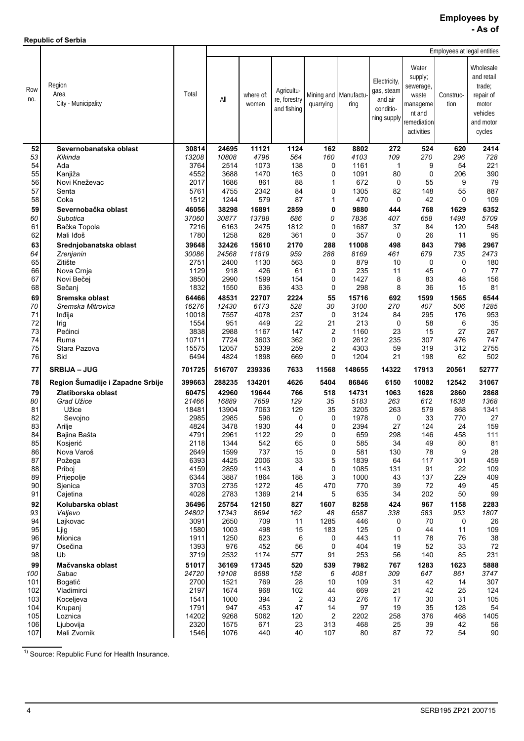**Republic of Serbia**

j.

|            |                                       |                |                |                    |                                           |            |                               |                                                                   |                                                                                           | Employees at legal entities |                                                                                            |
|------------|---------------------------------------|----------------|----------------|--------------------|-------------------------------------------|------------|-------------------------------|-------------------------------------------------------------------|-------------------------------------------------------------------------------------------|-----------------------------|--------------------------------------------------------------------------------------------|
| Row<br>no. | Region<br>Area<br>City - Municipality | Total          | All            | where of:<br>women | Agricultu-<br>re, forestry<br>and fishing | quarrying  | Mining and Manufactu-<br>ring | Electricity,<br>gas, steam<br>and air<br>conditio-<br>ning supply | Water<br>supply;<br>sewerage,<br>waste<br>manageme<br>nt and<br>remediation<br>activities | Construc-<br>tion           | Wholesale<br>and retail<br>trade:<br>repair of<br>motor<br>vehicles<br>and motor<br>cycles |
| 52         | Severnobanatska oblast                | 30814          | 24695          | 11121              | 1124                                      | 162        | 8802                          | 272                                                               | 524                                                                                       | 620                         | 2414                                                                                       |
| 53         | Kikinda                               | 13208          | 10808          | 4796               | 564                                       | 160        | 4103                          | 109                                                               | 270                                                                                       | 296                         | 728                                                                                        |
| 54         | Ada                                   | 3764           | 2514           | 1073               | 138                                       | 0          | 1161                          | 1                                                                 | 9                                                                                         | 54                          | 221                                                                                        |
| 55         | Kanjiža                               | 4552           | 3688           | 1470               | 163                                       | 0          | 1091                          | 80                                                                | 0                                                                                         | 206                         | 390                                                                                        |
| 56         | Novi Kneževac                         | 2017           | 1686           | 861                | 88                                        | 1          | 672                           | 0                                                                 | 55                                                                                        | 9                           | 79                                                                                         |
| 57<br>58   | Senta<br>Coka                         | 5761<br>1512   | 4755<br>1244   | 2342<br>579        | 84<br>87                                  | 0<br>1     | 1305<br>470                   | 82<br>0                                                           | 148<br>42                                                                                 | 55<br>0                     | 887<br>109                                                                                 |
|            |                                       |                |                |                    |                                           |            |                               |                                                                   |                                                                                           |                             |                                                                                            |
| 59<br>60   | Severnobačka oblast<br>Subotica       | 46056<br>37060 | 38298<br>30877 | 16891<br>13788     | 2859<br>686                               | 0<br>0     | 9880<br>7836                  | 444<br>407                                                        | 768<br>658                                                                                | 1629<br>1498                | 6352<br>5709                                                                               |
| 61         | Bačka Topola                          | 7216           | 6163           | 2475               | 1812                                      | 0          | 1687                          | 37                                                                | 84                                                                                        | 120                         | 548                                                                                        |
| 62         | Mali Iđoš                             | 1780           | 1258           | 628                | 361                                       | 0          | 357                           | 0                                                                 | 26                                                                                        | 11                          | 95                                                                                         |
| 63         | Srednjobanatska oblast                | 39648          | 32426          | 15610              | 2170                                      | 288        | 11008                         | 498                                                               | 843                                                                                       | 798                         | 2967                                                                                       |
| 64         | Zrenjanin                             | 30086          | 24568          | 11819              | 959                                       | 288        | 8169                          | 461                                                               | 679                                                                                       | 735                         | 2473                                                                                       |
| 65         | Žitište                               | 2751           | 2400           | 1130               | 563                                       | 0          | 879                           | 10                                                                | 0                                                                                         | 0                           | 180                                                                                        |
| 66         | Nova Crnja                            | 1129           | 918            | 426                | 61                                        | 0          | 235                           | 11                                                                | 45                                                                                        | $\mathbf 0$                 | 77                                                                                         |
| 67         | Novi Bečej                            | 3850           | 2990           | 1599               | 154                                       | 0          | 1427                          | 8                                                                 | 83                                                                                        | 48                          | 156                                                                                        |
| 68         | Sečanj                                | 1832           | 1550           | 636                | 433                                       | 0          | 298                           | 8                                                                 | 36                                                                                        | 15                          | 81                                                                                         |
| 69         | Sremska oblast                        | 64466          | 48531          | 22707              | 2224                                      | 55         | 15716                         | 692                                                               | 1599                                                                                      | 1565                        | 6544                                                                                       |
| 70<br>71   | Sremska Mitrovica                     | 16276          | 12430          | 6173               | 528<br>237                                | 30         | 3100<br>3124                  | 270                                                               | 407<br>295                                                                                | 506<br>176                  | 1285<br>953                                                                                |
| 72         | Inđija<br>Irig                        | 10018<br>1554  | 7557<br>951    | 4078<br>449        | 22                                        | 0<br>21    | 213                           | 84<br>$\mathbf 0$                                                 | 58                                                                                        | 6                           | 35                                                                                         |
| 73         | Pećinci                               | 3838           | 2988           | 1167               | 147                                       | 2          | 1160                          | 23                                                                | 15                                                                                        | 27                          | 267                                                                                        |
| 74         | Ruma                                  | 10711          | 7724           | 3603               | 362                                       | 0          | 2612                          | 235                                                               | 307                                                                                       | 476                         | 747                                                                                        |
| 75         | Stara Pazova                          | 15575          | 12057          | 5339               | 259                                       | 2          | 4303                          | 59                                                                | 319                                                                                       | 312                         | 2755                                                                                       |
| 76         | Sid                                   | 6494           | 4824           | 1898               | 669                                       | 0          | 1204                          | 21                                                                | 198                                                                                       | 62                          | 502                                                                                        |
| 77         | <b>SRBIJA – JUG</b>                   | 701725         | 516707         | 239336             | 7633                                      | 11568      | 148655                        | 14322                                                             | 17913                                                                                     | 20561                       | 52777                                                                                      |
| 78         | Region Šumadije i Zapadne Srbije      | 399663         | 288235         | 134201             | 4626                                      | 5404       | 86846                         | 6150                                                              | 10082                                                                                     | 12542                       | 31067                                                                                      |
| 79         | Zlatiborska oblast                    | 60475          | 42960          | 19644              | 766                                       | 518        | 14731                         | 1063                                                              | 1628                                                                                      | 2860                        | 2868                                                                                       |
| 80         | Grad Užice                            | 21466          | 16889          | 7659               | 129                                       | 35         | 5183                          | 263                                                               | 612                                                                                       | 1638                        | 1368                                                                                       |
| 81         | Užice                                 | 18481          | 13904          | 7063               | 129                                       | 35         | 3205                          | 263                                                               | 579                                                                                       | 868                         | 1341                                                                                       |
| 82<br>83   | Sevojno                               | 2985<br>4824   | 2985<br>3478   | 596<br>1930        | 0<br>44                                   | 0<br>0     | 1978<br>2394                  | 0<br>27                                                           | 33<br>124                                                                                 | 770<br>24                   | 27<br>159                                                                                  |
| 84         | Arilje<br>Bajina Bašta                | 4791           | 2961           | 1122               | 29                                        | 0          | 659                           | 298                                                               | 146                                                                                       | 458                         | 111                                                                                        |
| 85         | Kosjerić                              | 2118           | 1344           | 542                | 65                                        | 0          | 585                           | 34                                                                | 49                                                                                        | 80                          | 81                                                                                         |
| 86         | Nova Varoš                            | 2649           | 1599           | 737                | 15                                        | 0          | 581                           | 130                                                               | 78                                                                                        | 9                           | 28                                                                                         |
| 87         | Požega                                | 6393           | 4425           | 2006               | 33                                        | 5          | 1839                          | 64                                                                | 117                                                                                       | 301                         | 459                                                                                        |
| 88         | Priboj                                | 4159           | 2859           | 1143               | 4                                         | 0          | 1085                          | 131                                                               | 91                                                                                        | 22                          | 109                                                                                        |
| 89         | Prijepolje                            | 6344           | 3887           | 1864               | 188                                       | 3          | 1000                          | 43                                                                | 137                                                                                       | 229                         | 409                                                                                        |
| 90<br>91   | Sjenica                               | 3703<br>4028   | 2735<br>2783   | 1272<br>1369       | 45<br>214                                 | 470<br>5   | 770<br>635                    | 39<br>34                                                          | 72<br>202                                                                                 | 49<br>50                    | 45<br>99                                                                                   |
| 92         | Cajetina<br>Kolubarska oblast         | 36496          | 25754          | 12150              | 827                                       |            | 8258                          | 424                                                               | 967                                                                                       |                             |                                                                                            |
| 93         | Valjevo                               | 24802          | 17343          | 8694               | 162                                       | 1607<br>48 | 6587                          | 338                                                               | 583                                                                                       | 1158<br>953                 | 2283<br>1807                                                                               |
| 94         | Lajkovac                              | 3091           | 2650           | 709                | 11                                        | 1285       | 446                           | 0                                                                 | 70                                                                                        | 0                           | 26                                                                                         |
| 95         | Ljig                                  | 1580           | 1003           | 498                | 15                                        | 183        | 125                           | 0                                                                 | 44                                                                                        | 11                          | 109                                                                                        |
| 96         | Mionica                               | 1911           | 1250           | 623                | 6                                         | 0          | 443                           | 11                                                                | 78                                                                                        | 76                          | 38                                                                                         |
| 97         | Osečina                               | 1393           | 976            | 452                | 56                                        | 0          | 404                           | 19                                                                | 52                                                                                        | 33                          | 72                                                                                         |
| 98         | Ub                                    | 3719           | 2532           | 1174               | 577                                       | 91         | 253                           | 56                                                                | 140                                                                                       | 85                          | 231                                                                                        |
| 99         | Mačvanska oblast                      | 51017          | 36169          | 17345              | 520                                       | 539        | 7982                          | 767                                                               | 1283                                                                                      | 1623                        | 5888                                                                                       |
| 100        | Sabac                                 | 24720          | 19108          | 8588               | 158                                       | 6          | 4081                          | 309                                                               | 647                                                                                       | 861                         | 3747                                                                                       |
| 101<br>102 | Bogatić<br>Vladimirci                 | 2700<br>2197   | 1521<br>1674   | 769<br>968         | 28<br>102                                 | 10<br>44   | 109<br>669                    | 31<br>21                                                          | 42<br>42                                                                                  | 14<br>25                    | 307<br>124                                                                                 |
| 103        | Koceljeva                             | 1541           | 1000           | 394                | $\overline{2}$                            | 43         | 276                           | 17                                                                | 30                                                                                        | 31                          | 105                                                                                        |
| 104        | Krupanj                               | 1791           | 947            | 453                | 47                                        | 14         | 97                            | 19                                                                | 35                                                                                        | 128                         | 54                                                                                         |
| 105        | Loznica                               | 14202          | 9268           | 5062               | 120                                       | 2          | 2202                          | 258                                                               | 376                                                                                       | 468                         | 1405                                                                                       |
| 106        | Ljubovija                             | 2320           | 1575           | 671                | 23                                        | 313        | 468                           | 25                                                                | 39                                                                                        | 42                          | 56                                                                                         |
| 107        | Mali Zvornik                          | 1546           | 1076           | 440                | 40                                        | 107        | 80                            | 87                                                                | 72                                                                                        | 54                          | $90\,$                                                                                     |

1) Source: Republic Fund for Health Insurance.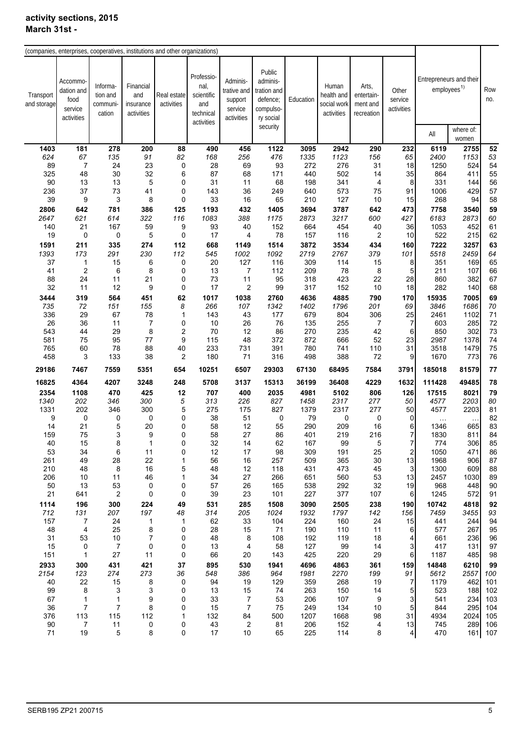|                          | (companies, enterprises, cooperatives, institutions and other organizations) |                                            |                                             |                           |                                                                    |                                                             |                                                                                     |           |                                                  |                                               |                                |                         |                                      |            |
|--------------------------|------------------------------------------------------------------------------|--------------------------------------------|---------------------------------------------|---------------------------|--------------------------------------------------------------------|-------------------------------------------------------------|-------------------------------------------------------------------------------------|-----------|--------------------------------------------------|-----------------------------------------------|--------------------------------|-------------------------|--------------------------------------|------------|
|                          |                                                                              |                                            |                                             |                           |                                                                    |                                                             |                                                                                     |           |                                                  |                                               |                                |                         |                                      |            |
| Transport<br>and storage | Accommo<br>dation and<br>food<br>service<br>activities                       | Informa-<br>tion and<br>communi-<br>cation | Financial<br>and<br>insurance<br>activities | Real estate<br>activities | Professio-<br>nal,<br>scientific<br>and<br>technical<br>activities | Adminis-<br>trative and<br>support<br>service<br>activities | Public<br>adminis-<br>tration and<br>defence;<br>compulso-<br>ry social<br>security | Education | Human<br>health and<br>social work<br>activities | Arts,<br>entertain-<br>ment and<br>recreation | Other<br>service<br>activities | Entrepreneurs and their | employees <sup>1)</sup><br>where of: | Row<br>no. |
|                          |                                                                              |                                            |                                             |                           |                                                                    |                                                             |                                                                                     |           |                                                  |                                               |                                | All                     | women                                |            |
|                          |                                                                              |                                            |                                             |                           |                                                                    |                                                             |                                                                                     |           |                                                  |                                               |                                |                         |                                      |            |
| 1403                     | 181                                                                          | 278                                        | 200                                         | 88                        | 490                                                                | 456                                                         | 1122                                                                                | 3095      | 2942                                             | 290                                           | 232                            | 6119                    | 2755                                 | 52         |
| 624                      | 67                                                                           | 135                                        | 91                                          | 82                        | 168                                                                | 256                                                         | 476                                                                                 | 1335      | 1123                                             | 156                                           | 65                             | 2400                    | 1153                                 | 53         |
| 89                       | $\overline{7}$                                                               | 24                                         | 23                                          | 0                         | 28                                                                 | 69                                                          | 93                                                                                  | 272       | 276                                              | 31                                            | 18                             | 1250                    | 524                                  | 54         |
| 325                      | 48                                                                           | 30                                         | 32                                          | 6                         | 87                                                                 | 68                                                          | 171                                                                                 | 440       | 502                                              | 14                                            | 35                             | 864                     | 411                                  | 55         |
| 90                       | 13                                                                           | 13                                         | 5                                           | 0                         | 31                                                                 | 11                                                          | 68                                                                                  | 198       | 341                                              | 4                                             | 8                              | 331                     | 144                                  | 56         |
| 236                      | 37                                                                           | 73                                         | 41                                          | $\pmb{0}$                 | 143                                                                | 36                                                          | 249                                                                                 | 640       | 573                                              | 75                                            | 91                             | 1006                    | 429                                  | 57         |
| 39                       | 9                                                                            | 3                                          | 8                                           | 0                         | 33                                                                 | 16                                                          | 65                                                                                  | 210       | 127                                              | 10                                            | 15                             | 268                     | 94                                   | 58         |
| 2806                     | 642                                                                          | 781                                        | 386                                         | 125                       | 1193                                                               | 432                                                         | 1405                                                                                | 3694      | 3787                                             | 642                                           | 473                            | 7758                    | 3540                                 | 59         |
| 2647                     | 621                                                                          | 614                                        | 322                                         | 116                       | 1083                                                               | 388                                                         | 1175                                                                                | 2873      | 3217                                             | 600                                           | 427                            | 6183                    | 2873                                 | 60         |
| 140                      | 21                                                                           | 167                                        | 59                                          | 9                         | 93                                                                 | 40                                                          | 152                                                                                 | 664       | 454                                              | 40                                            | 36                             | 1053                    | 452                                  | 61         |
| 19                       | 0                                                                            | 0                                          | 5                                           | $\pmb{0}$                 | 17                                                                 | 4                                                           | 78                                                                                  | 157       | 116                                              | $\overline{c}$                                | 10                             | 522                     | 215                                  | 62         |
| 1591                     | 211                                                                          | 335                                        | 274                                         | 112                       | 668                                                                | 1149                                                        | 1514                                                                                | 3872      | 3534                                             | 434                                           | 160                            | 7222                    | 3257                                 | 63         |
| 1393                     | 173                                                                          | 291                                        | 230                                         | 112                       | 545                                                                | 1002                                                        | 1092                                                                                | 2719      | 2767                                             | 379                                           | 101                            | 5518                    | 2459                                 | 64         |
| 37                       | 1                                                                            | 15                                         | 6                                           | 0                         | 20                                                                 | 127                                                         | 116                                                                                 | 309       | 114                                              | 15                                            | 8                              | 351                     | 169                                  | 65         |
| 41                       | $\overline{2}$                                                               | 6                                          | 8                                           | 0                         | 13                                                                 | 7                                                           | 112                                                                                 | 209       | 78                                               | 8                                             | 5                              | 211                     | 107                                  | 66         |
| 88                       | 24                                                                           | 11                                         | 21                                          | 0                         | 73                                                                 | 11                                                          | 95                                                                                  | 318       | 423                                              | 22                                            | 28                             | 860                     | 382                                  | 67         |
| 32                       | 11                                                                           | 12                                         | 9                                           | 0                         | 17                                                                 | $\overline{\mathbf{c}}$                                     | 99                                                                                  | 317       | 152                                              | 10                                            | 18                             | 282                     | 140                                  | 68         |
| 3444                     | 319                                                                          | 564                                        | 451                                         | 62                        | 1017                                                               | 1038                                                        | 2760                                                                                | 4636      | 4885                                             | 790                                           | 170                            | 15935                   | 7005                                 | 69         |
| 735                      | 72                                                                           | 151                                        | 155                                         | 8                         | 266                                                                | 107                                                         | 1342                                                                                | 1402      | 1796                                             | 201                                           | 69                             | 3846                    | 1686                                 | 70         |
| 336                      | 29                                                                           | 67                                         | 78                                          | 1                         | 143                                                                | 43                                                          | 177                                                                                 | 679       | 804                                              | 306                                           | 25                             | 2461                    | 1102                                 | 71         |
| 26                       | 36                                                                           | 11                                         | $\overline{7}$                              | 0                         | 10                                                                 | 26                                                          | 76                                                                                  | 135       | 255                                              | 7                                             | 7                              | 603                     | 285                                  | 72         |
| 543                      | 44                                                                           | 29                                         | 8                                           | $\overline{\mathbf{c}}$   | 70                                                                 | 12                                                          | 86                                                                                  | 270       | 235                                              | 42                                            | 6                              | 850                     | 302                                  | 73         |
| 581                      | 75                                                                           | 95                                         | 77                                          | 9                         | 115                                                                | 48                                                          | 372                                                                                 | 872       | 666                                              | 52                                            | 23                             | 2987                    | 1378                                 | 74         |
| 765                      | 60                                                                           | 78                                         | 88                                          | 40                        | 233                                                                | 731                                                         | 391                                                                                 | 780       | 741                                              | 110                                           | 31                             | 3518                    | 1479                                 | 75         |
| 458                      | 3                                                                            | 133                                        | 38                                          | $\overline{\mathbf{c}}$   | 180                                                                | 71                                                          | 316                                                                                 | 498       | 388                                              | 72                                            | 9                              | 1670                    | 773                                  | 76         |
| 29186                    | 7467                                                                         | 7559                                       | 5351                                        | 654                       | 10251                                                              | 6507                                                        | 29303                                                                               | 67130     | 68495                                            | 7584                                          | 3791                           | 185018                  | 81579                                | 77         |
| 16825                    | 4364                                                                         | 4207                                       | 3248                                        | 248                       | 5708                                                               | 3137                                                        | 15313                                                                               | 36199     | 36408                                            | 4229                                          | 1632                           | 111428                  | 49485                                | 78         |
| 2354                     | 1108                                                                         | 470                                        | 425                                         | 12                        | 707                                                                | 400                                                         | 2035                                                                                | 4981      | 5102                                             | 806                                           | 126                            | 17515                   | 8021                                 | 79         |
| 1340                     | 202                                                                          | 346                                        | 300                                         | 5                         | 313                                                                | 226                                                         | 827                                                                                 | 1458      | 2317                                             | 277                                           | 50                             | 4577                    | 2203                                 | 80         |
| 1331                     | 202                                                                          | 346                                        | 300                                         | 5                         | 275                                                                | 175                                                         | 827                                                                                 | 1379      | 2317                                             | 277                                           | 50                             | 4577                    | 2203                                 | 81         |
| 9                        | 0                                                                            | 0                                          | 0                                           | 0                         | 38                                                                 | 51                                                          | 0                                                                                   | 79        | 0                                                | 0                                             | 0                              | $\ddotsc$               |                                      | 82         |
| 14                       | 21                                                                           | 5                                          | 20                                          | 0                         | 58                                                                 | 12                                                          | 55                                                                                  | 290       | 209                                              | 16                                            | 6                              | 1346                    | 665                                  | 83         |
| 159                      | 75                                                                           | 3                                          | 9                                           | 0                         | 58                                                                 | 27                                                          | 86                                                                                  | 401       | 219                                              | 216                                           | $\overline{7}$                 | 1830                    | 811                                  | 84         |
| 40                       | 15                                                                           | 8                                          | $\mathbf{1}$                                | 0                         | 32                                                                 | 14                                                          | 62                                                                                  | 167       | 99                                               | $\mathbf 5$                                   | 7                              | 774                     | 306                                  | 85         |
| 53                       | 34                                                                           | 6                                          | 11                                          | 0                         | 12                                                                 | 17                                                          | 98                                                                                  | 309       | 191                                              | 25                                            | $\overline{\mathbf{c}}$        | 1050                    | 471                                  | 86         |
| 261                      | 49                                                                           | 28                                         | 22                                          | 1                         | 56                                                                 | 16                                                          | 257                                                                                 | 509       | 365                                              | 30                                            | 13                             | 1968                    | 906                                  | 87         |
| 210                      | 48                                                                           | 8                                          | 16                                          | 5                         | 48                                                                 | 12                                                          | 118                                                                                 | 431       | 473                                              | 45                                            | 3                              | 1300                    | 609                                  | 88         |
| 206                      | 10                                                                           | 11                                         | 46                                          | 1                         | 34                                                                 | 27                                                          | 266                                                                                 | 651       | 560                                              | 53                                            | 13                             | 2457                    | 1030                                 | 89         |
| 50                       | 13                                                                           | 53                                         | 0                                           | 0                         | 57                                                                 | 26                                                          | 165                                                                                 | 538       | 292                                              | 32                                            | 19                             | 968                     | 448                                  | 90         |
| 21                       | 641                                                                          | 2                                          | 0                                           | 0                         | 39                                                                 | 23                                                          | 101                                                                                 | 227       | 377                                              | 107                                           | 6                              | 1245                    | 572                                  | 91         |
| 1114                     | 196                                                                          | 300                                        | 224                                         | 49                        | 531                                                                | 285                                                         | 1508                                                                                | 3090      | 2505                                             | 238                                           | 190                            | 10742                   | 4818                                 | 92         |
| 712                      | 131                                                                          | 207                                        | 197                                         | 48                        | 314                                                                | 205                                                         | 1024                                                                                | 1932      | 1797                                             | 142                                           | 156                            | 7459                    | 3455                                 | 93         |
| 157                      | $\overline{7}$                                                               | 24                                         | $\mathbf{1}$                                | 1                         | 62                                                                 | 33                                                          | 104                                                                                 | 224       | 160                                              | 24                                            | 15                             | 441                     | 244                                  | 94         |
| 48                       | $\overline{\mathbf{4}}$                                                      | 25                                         | 8                                           | 0                         | 28                                                                 | 15                                                          | 71                                                                                  | 190       | 110                                              | 11                                            | 6                              | 577                     | 267                                  | 95         |
| 31                       | 53                                                                           | 10                                         | $\boldsymbol{7}$                            | 0                         | 48                                                                 | 8                                                           | 108                                                                                 | 192       | 119                                              | 18                                            | 4                              | 661                     | 236                                  | 96         |
| 15                       | 0                                                                            | $\overline{7}$                             | 0                                           | 0                         | 13                                                                 | 4                                                           | 58                                                                                  | 127       | 99                                               | 14                                            | 3                              | 417                     | 131                                  | 97         |
| 151                      | $\mathbf{1}$                                                                 | 27                                         | 11                                          | 0                         | 66                                                                 | 20                                                          | 143                                                                                 | 425       | 220                                              | 29                                            | 6                              | 1187                    | 485                                  | 98         |
| 2933                     | 300                                                                          | 431                                        | 421                                         | 37                        | 895                                                                | 530                                                         | 1941                                                                                | 4696      | 4863                                             | 361                                           | 159                            | 14848                   | 6210                                 | 99         |
| 2154                     | 123                                                                          | 274                                        | 273                                         | 36                        | 548                                                                | 386                                                         | 964                                                                                 | 1981      | 2270                                             | 199                                           | 91                             | 5612                    | 2557                                 | 100        |
| 40                       | 22                                                                           | $15\,$                                     | 8                                           | 0                         | 94                                                                 | 19                                                          | 129                                                                                 | 359       | 268                                              | 19                                            | 7                              | 1179                    | 462                                  | 101        |
| 99                       | 8                                                                            | 3                                          | 3                                           | 0                         | 13                                                                 | 15                                                          | 74                                                                                  | 263       | 150                                              | 14                                            | 5                              | 523                     | 188                                  | 102        |
| 67                       | 1                                                                            | 1                                          | 9                                           | 0                         | 33                                                                 | 7                                                           | 53                                                                                  | 206       | 107                                              | 9                                             | 3                              | 541                     | 234                                  | 103        |
| 36                       | $\overline{7}$                                                               | 7                                          | 8                                           | 0                         | 15                                                                 | $\boldsymbol{7}$                                            | 75                                                                                  | 249       | 134                                              | $10$                                          | 5                              | 844                     | 295                                  | 104        |
| 376                      | 113                                                                          | 115                                        | 112                                         | 1                         | 132                                                                | 84                                                          | 500                                                                                 | 1207      | 1668                                             | 98                                            | 31                             | 4934                    | 2024                                 | 105        |
| $90\,$                   | $\overline{7}$                                                               | 11                                         | 0                                           | 0                         | 43                                                                 | 2                                                           | 81                                                                                  | 206       | 152                                              | 4                                             | 13                             | 745                     | 289                                  | 106        |
| 71                       | 19                                                                           | 5                                          | 8                                           | 0                         | 17                                                                 | $10$                                                        | 65                                                                                  | 225       | 114                                              | 8                                             | 4                              | 470                     |                                      | 161 107    |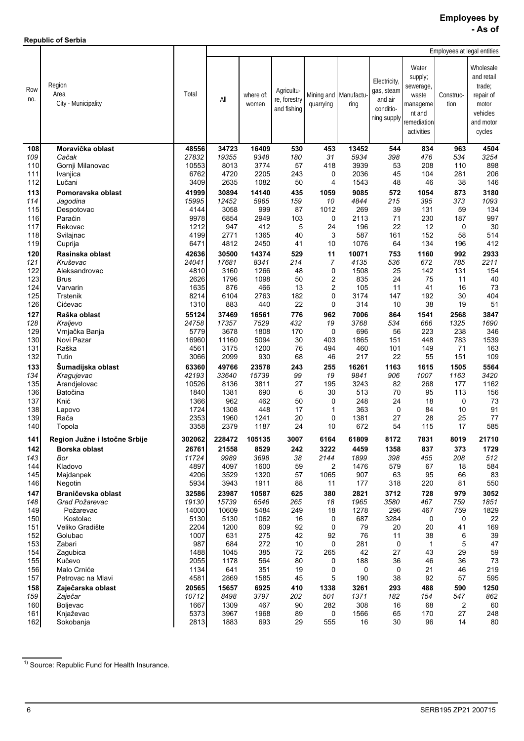**Republic of Serbia**

Ĭ.

|            |                                       |                |                |                    |                                           |                |                               |                                                                   |                                                                                           |                   | Employees at legal entities                                                                |
|------------|---------------------------------------|----------------|----------------|--------------------|-------------------------------------------|----------------|-------------------------------|-------------------------------------------------------------------|-------------------------------------------------------------------------------------------|-------------------|--------------------------------------------------------------------------------------------|
| Row<br>no. | Region<br>Area<br>City - Municipality | Total          | All            | where of:<br>women | Agricultu-<br>re, forestry<br>and fishing | quarrying      | Mining and Manufactu-<br>ring | Electricity,<br>gas, steam<br>and air<br>conditio-<br>ning supply | Water<br>supply;<br>sewerage,<br>waste<br>manageme<br>nt and<br>remediation<br>activities | Construc-<br>tion | Wholesale<br>and retail<br>trade:<br>repair of<br>motor<br>vehicles<br>and motor<br>cycles |
| 108        | Moravička oblast                      | 48556          | 34723          | 16409              | 530                                       | 453            | 13452                         | 544                                                               | 834                                                                                       | 963               | 4504                                                                                       |
| 109        | Čačak                                 | 27832          | 19355          | 9348               | 180                                       | 31             | 5934                          | 398                                                               | 476                                                                                       | 534               | 3254                                                                                       |
| 110        | Gornji Milanovac                      | 10553          | 8013           | 3774               | 57                                        | 418            | 3939                          | 53                                                                | 208                                                                                       | 110               | 898                                                                                        |
| 111        | Ivanjica                              | 6762           | 4720           | 2205               | 243                                       | 0              | 2036                          | 45                                                                | 104                                                                                       | 281               | 206                                                                                        |
| 112        | Lučani                                | 3409           | 2635           | 1082               | 50                                        | 4              | 1543                          | 48                                                                | 46                                                                                        | 38                | 146                                                                                        |
| 113        | Pomoravska oblast                     | 41999          | 30894          | 14140              | 435                                       | 1059           | 9085                          | 572                                                               | 1054                                                                                      | 873               | 3180                                                                                       |
| 114<br>115 | Jagodina<br>Despotovac                | 15995<br>4144  | 12452<br>3058  | 5965<br>999        | 159<br>87                                 | 10<br>1012     | 4844<br>269                   | 215<br>39                                                         | 395<br>131                                                                                | 373<br>59         | 1093<br>134                                                                                |
| 116        | Paraćin                               | 9978           | 6854           | 2949               | 103                                       | 0              | 2113                          | 71                                                                | 230                                                                                       | 187               | 997                                                                                        |
| 117        | Rekovac                               | 1212           | 947            | 412                | 5                                         | 24             | 196                           | 22                                                                | 12                                                                                        | 0                 | 30                                                                                         |
| 118        | Svilajnac                             | 4199           | 2771           | 1365               | 40                                        | 3              | 587                           | 161                                                               | 152                                                                                       | 58                | 514                                                                                        |
| 119        | Cuprija                               | 6471           | 4812           | 2450               | 41                                        | 10             | 1076                          | 64                                                                | 134                                                                                       | 196               | 412                                                                                        |
| 120        | Rasinska oblast                       | 42636          | 30500          | 14374              | 529                                       | 11             | 10071                         | 753                                                               | 1160                                                                                      | 992               | 2933                                                                                       |
| 121        | Kruševac                              | 24041          | 17681          | 8341               | 214                                       | $\overline{7}$ | 4135                          | 536                                                               | 672                                                                                       | 785               | 2211                                                                                       |
| 122        | Aleksandrovac                         | 4810           | 3160           | 1266               | 48                                        | 0              | 1508                          | 25                                                                | 142                                                                                       | 131               | 154                                                                                        |
| 123<br>124 | <b>Brus</b><br>Varvarin               | 2626<br>1635   | 1796<br>876    | 1098<br>466        | 50<br>13                                  | 2<br>2         | 835<br>105                    | 24<br>11                                                          | 75<br>41                                                                                  | 11<br>16          | 40<br>73                                                                                   |
| 125        | Trstenik                              | 8214           | 6104           | 2763               | 182                                       | 0              | 3174                          | 147                                                               | 192                                                                                       | 30                | 404                                                                                        |
| 126        | Cićevac                               | 1310           | 883            | 440                | 22                                        | 0              | 314                           | 10                                                                | 38                                                                                        | 19                | 51                                                                                         |
| 127        | Raška oblast                          | 55124          | 37469          | 16561              | 776                                       | 962            | 7006                          | 864                                                               | 1541                                                                                      | 2568              | 3847                                                                                       |
| 128        | Kraljevo                              | 24758          | 17357          | 7529               | 432                                       | 19             | 3768                          | 534                                                               | 666                                                                                       | 1325              | 1690                                                                                       |
| 129        | Vrnjačka Banja                        | 5779           | 3678           | 1808               | 170                                       | 0              | 696                           | 56                                                                | 223                                                                                       | 238               | 346                                                                                        |
| 130        | Novi Pazar                            | 16960          | 11160          | 5094               | 30                                        | 403            | 1865                          | 151                                                               | 448                                                                                       | 783               | 1539                                                                                       |
| 131        | Raška                                 | 4561           | 3175           | 1200               | 76                                        | 494            | 460                           | 101                                                               | 149                                                                                       | 71                | 163                                                                                        |
| 132        | Tutin                                 | 3066           | 2099           | 930                | 68                                        | 46             | 217                           | 22                                                                | 55                                                                                        | 151               | 109                                                                                        |
| 133<br>134 | Šumadijska oblast                     | 63360<br>42193 | 49766<br>33640 | 23578<br>15739     | 243<br>99                                 | 255<br>19      | 16261<br>9841                 | 1163<br>906                                                       | 1615<br>1007                                                                              | 1505<br>1163      | 5564<br>3420                                                                               |
| 135        | Kragujevac<br>Arandjelovac            | 10526          | 8136           | 3811               | 27                                        | 195            | 3243                          | 82                                                                | 268                                                                                       | 177               | 1162                                                                                       |
| 136        | Batočina                              | 1840           | 1381           | 690                | 6                                         | 30             | 513                           | 70                                                                | 95                                                                                        | 113               | 156                                                                                        |
| 137        | Knić                                  | 1366           | 962            | 462                | 50                                        | 0              | 248                           | 24                                                                | 18                                                                                        | 0                 | 73                                                                                         |
| 138        | Lapovo                                | 1724           | 1308           | 448                | 17                                        | 1              | 363                           | $\mathbf 0$                                                       | 84                                                                                        | 10                | 91                                                                                         |
| 139        | Rača                                  | 2353           | 1960           | 1241               | 20                                        | 0              | 1381                          | 27                                                                | 28                                                                                        | 25                | 77                                                                                         |
| 140        | Topola                                | 3358           | 2379           | 1187               | 24                                        | 10             | 672                           | 54                                                                | 115                                                                                       | 17                | 585                                                                                        |
| 141        | Region Južne i Istočne Srbije         | 302062         | 228472         | 105135             | 3007                                      | 6164           | 61809                         | 8172                                                              | 7831                                                                                      | 8019              | 21710                                                                                      |
| 142        | Borska oblast                         | 26761          | 21558          | 8529               | 242                                       | 3222           | 4459                          | 1358                                                              | 837                                                                                       | 373               | 1729                                                                                       |
| 143        | Bor                                   | 11724          | 9989           | 3698               | 38                                        | 2144           | 1899                          | 398                                                               | 455                                                                                       | 208               | 512                                                                                        |
| 144        | Kladovo                               | 4897           | 4097           | 1600               | 59                                        | 2              | 1476                          | 579                                                               | 67                                                                                        | 18                | 584                                                                                        |
| 145        | Majdanpek                             | 4206           | 3529           | 1320               | 57                                        | 1065           | 907                           | 63                                                                | 95                                                                                        | 66                | 83                                                                                         |
| 146        | Negotin                               | 5934           | 3943           | 1911               | 88                                        | 11             | 177                           | 318                                                               | 220                                                                                       | 81                | 550                                                                                        |
| 147        | Braničevska oblast                    | 32586          | 23987          | 10587              | 625                                       | 380            | 2821                          | 3712                                                              | 728                                                                                       | 979               | 3052                                                                                       |
| 148<br>149 | Grad Požarevac<br>Požarevac           | 19130<br>14000 | 15739<br>10609 | 6546<br>5484       | 265<br>249                                | 18<br>18       | 1965<br>1278                  | 3580<br>296                                                       | 467<br>467                                                                                | 759<br>759        | 1851<br>1829                                                                               |
| 150        | Kostolac                              | 5130           | 5130           | 1062               | 16                                        | 0              | 687                           | 3284                                                              | 0                                                                                         | 0                 | 22                                                                                         |
| 151        | Veliko Gradište                       | 2204           | 1200           | 609                | 92                                        | 0              | 79                            | 20                                                                | 20                                                                                        | 41                | 169                                                                                        |
| 152        | Golubac                               | 1007           | 631            | 275                | 42                                        | 92             | 76                            | 11                                                                | 38                                                                                        | 6                 | 39                                                                                         |
| 153        | Zabari                                | 987            | 684            | 272                | 10                                        | 0              | 281                           | 0                                                                 | $\mathbf 1$                                                                               | 5                 | 47                                                                                         |
| 154        | Zagubica                              | 1488           | 1045           | 385                | 72                                        | 265            | 42                            | 27                                                                | 43                                                                                        | 29                | 59                                                                                         |
| 155        | Kučevo                                | 2055           | 1178           | 564                | 80                                        | 0              | 188                           | 36                                                                | 46                                                                                        | 36                | 73                                                                                         |
| 156        | Malo Crniće                           | 1134           | 641            | 351                | 19                                        | 0              | 0                             | 0                                                                 | 21                                                                                        | 46                | 219                                                                                        |
| 157        | Petrovac na Mlavi                     | 4581           | 2869           | 1585               | 45                                        | 5              | 190                           | 38                                                                | 92                                                                                        | 57                | 595                                                                                        |
| 158<br>159 | Zaječarska oblast<br>Zaječar          | 20565<br>10712 | 15657<br>8498  | 6925<br>3797       | 410<br>202                                | 1338<br>501    | 3261<br>1371                  | 293<br>182                                                        | 488<br>154                                                                                | 590<br>547        | 1250<br>862                                                                                |
| 160        | Boljevac                              | 1667           | 1309           | 467                | 90                                        | 282            | 308                           | 16                                                                | 68                                                                                        | 2                 | 60                                                                                         |
| 161        | Knjaževac                             | 5373           | 3967           | 1968               | 89                                        | 0              | 1566                          | 65                                                                | 170                                                                                       | 27                | 248                                                                                        |
| 162        | Sokobanja                             | 2813           | 1883           | 693                | 29                                        | 555            | 16                            | 30                                                                | 96                                                                                        | 14                | 80                                                                                         |

<sup>&</sup>lt;sup>1)</sup> Source: Republic Fund for Health Insurance.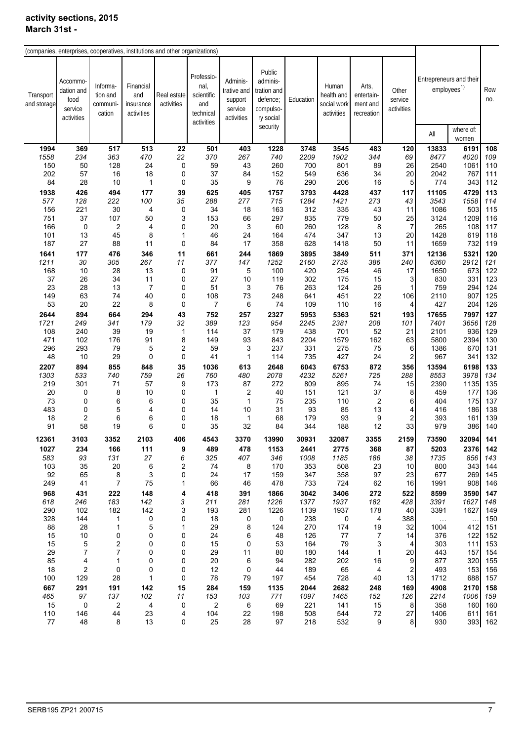|                          | (companies, enterprises, cooperatives, institutions and other organizations) |                                            |                                             |                           |                                                                    |                                                             |                                                                                     |              |                                                  |                                               |                                |                                                    |                               |            |
|--------------------------|------------------------------------------------------------------------------|--------------------------------------------|---------------------------------------------|---------------------------|--------------------------------------------------------------------|-------------------------------------------------------------|-------------------------------------------------------------------------------------|--------------|--------------------------------------------------|-----------------------------------------------|--------------------------------|----------------------------------------------------|-------------------------------|------------|
| Transport<br>and storage | Accommo<br>dation and<br>food<br>service<br>activities                       | Informa-<br>tion and<br>communi-<br>cation | Financial<br>and<br>insurance<br>activities | Real estate<br>activities | Professio-<br>nal,<br>scientific<br>and<br>technical<br>activities | Adminis-<br>trative and<br>support<br>service<br>activities | Public<br>adminis-<br>tration and<br>defence;<br>compulso-<br>ry social<br>security | Education    | Human<br>health and<br>social work<br>activities | Arts,<br>entertain-<br>ment and<br>recreation | Other<br>service<br>activities | Entrepreneurs and their<br>employees <sup>1)</sup> |                               | Row<br>no. |
|                          |                                                                              |                                            |                                             |                           |                                                                    |                                                             |                                                                                     |              |                                                  |                                               |                                | All                                                | where of:<br>women            |            |
| 1994                     | 369                                                                          | 517                                        | 513                                         | 22                        | 501                                                                | 403                                                         | 1228                                                                                | 3748         | 3545                                             | 483                                           | 120                            | 13833                                              | 6191                          | 108        |
| 1558                     | 234                                                                          | 363                                        | 470                                         | 22                        | 370                                                                | 267                                                         | 740                                                                                 | 2209         | 1902                                             | 344                                           | 69                             | 8477                                               | 4020                          | 109        |
| 150                      | 50                                                                           | 128                                        | 24                                          | $\pmb{0}$                 | 59                                                                 | 43                                                          | 260                                                                                 | 700          | 801                                              | 89                                            | 26                             | 2540                                               | 1061                          | 110        |
| 202                      | 57                                                                           | 16                                         | 18                                          | 0                         | 37                                                                 | 84                                                          | 152                                                                                 | 549          | 636                                              | 34                                            | 20                             | 2042                                               | 767                           | 111        |
| 84                       | 28                                                                           | 10                                         | 1                                           | 0                         | 35                                                                 | 9                                                           | 76                                                                                  | 290          | 206                                              | 16                                            | 5                              | 774                                                | 343                           | 112        |
| 1938                     | 426                                                                          | 494                                        | 177                                         | 39                        | 625                                                                | 405                                                         | 1757                                                                                | 3793         | 4428                                             | 437                                           | 117                            | 11105                                              | 4729                          | 113        |
| 577                      | 128                                                                          | 222                                        | 100                                         | 35                        | 288                                                                | 277                                                         | 715                                                                                 | 1284         | 1421                                             | 273                                           | 43                             | 3543                                               | 1558                          | 114        |
| 156                      | 221                                                                          | 30                                         | 4                                           | 0                         | 34                                                                 | 18                                                          | 163                                                                                 | 312          | 335                                              | 43                                            | 11                             | 1086                                               | 503                           | 115        |
| 751<br>166               | 37<br>$\mathbf 0$                                                            | 107                                        | 50                                          | 3<br>0                    | 153<br>20                                                          | 66<br>3                                                     | 297<br>60                                                                           | 835<br>260   | 779<br>128                                       | 50<br>8                                       | 25<br>$\overline{7}$           | 3124<br>265                                        | 1209<br>108                   | 116<br>117 |
| 101                      | 13                                                                           | 2<br>45                                    | 4<br>8                                      | $\mathbf{1}$              | 46                                                                 | 24                                                          | 164                                                                                 | 474          | 347                                              | 13                                            | 20                             | 1428                                               | 619                           | 118        |
| 187                      | 27                                                                           | 88                                         | 11                                          | 0                         | 84                                                                 | 17                                                          | 358                                                                                 | 628          | 1418                                             | 50                                            | 11                             | 1659                                               | 732                           | 119        |
| 1641                     | 177                                                                          | 476                                        | 346                                         | 11                        | 661                                                                | 244                                                         | 1869                                                                                | 3895         | 3849                                             | 511                                           | 371                            | 12136                                              | 5321                          | 120        |
| 1211                     | 30                                                                           | 305                                        | 267                                         | 11                        | 377                                                                | 147                                                         | 1252                                                                                | 2160         | 2735                                             | 386                                           | 240                            | 6360                                               | 2912                          | 121        |
| 168                      | 10                                                                           | 28                                         | 13                                          | 0                         | 91                                                                 | 5                                                           | 100                                                                                 | 420          | 254                                              | 46                                            | 17                             | 1650                                               | 673                           | 122        |
| 37                       | 26                                                                           | 34                                         | 11                                          | 0                         | 27                                                                 | 10                                                          | 119                                                                                 | 302          | 175                                              | 15                                            | 3                              | 830                                                | 331                           | 123        |
| 23                       | 28                                                                           | 13                                         | $\overline{7}$                              | 0                         | 51                                                                 | 3                                                           | 76                                                                                  | 263          | 124                                              | 26                                            | 1                              | 759                                                | 294                           | 124        |
| 149<br>53                | 63                                                                           | 74<br>22                                   | 40                                          | 0<br>0                    | 108                                                                | 73                                                          | 248                                                                                 | 641<br>109   | 451<br>110                                       | 22<br>16                                      | 106                            | 2110<br>427                                        | 907<br>204                    | 125        |
|                          | 20                                                                           |                                            | 8                                           |                           | 7                                                                  | 6                                                           | 74                                                                                  |              |                                                  |                                               | 4                              |                                                    |                               | 126        |
| 2644<br>1721             | 894<br>249                                                                   | 664<br>341                                 | 294<br>179                                  | 43<br>32                  | 752<br>389                                                         | 257<br>123                                                  | 2327<br>954                                                                         | 5953<br>2245 | 5363<br>2381                                     | 521<br>208                                    | 193<br>101                     | 17655<br>7401                                      | 7997<br>3656                  | 127<br>128 |
| 108                      | 240                                                                          | 39                                         | 19                                          | $\mathbf{1}$              | 114                                                                | 37                                                          | 179                                                                                 | 438          | 701                                              | 52                                            | 21                             | 2101                                               | 936                           | 129        |
| 471                      | 102                                                                          | 176                                        | 91                                          | 8                         | 149                                                                | 93                                                          | 843                                                                                 | 2204         | 1579                                             | 162                                           | 63                             | 5800                                               | 2394                          | 130        |
| 296                      | 293                                                                          | 79                                         | 5                                           | $\overline{\mathbf{c}}$   | 59                                                                 | 3                                                           | 237                                                                                 | 331          | 275                                              | 75                                            | 6                              | 1386                                               | 670                           | 131        |
| 48                       | 10                                                                           | 29                                         | 0                                           | 0                         | 41                                                                 | $\mathbf{1}$                                                | 114                                                                                 | 735          | 427                                              | 24                                            | $\overline{\mathbf{c}}$        | 967                                                | 341                           | 132        |
| 2207                     | 894                                                                          | 855                                        | 848                                         | 35                        | 1036                                                               | 613                                                         | 2648                                                                                | 6043         | 6753                                             | 872                                           | 356                            | 13594                                              | 6198                          | 133        |
| 1303                     | 533                                                                          | 740                                        | 759                                         | 26                        | 760                                                                | 480                                                         | 2078                                                                                | 4232         | 5261                                             | 725                                           | 288                            | 8553                                               | 3978                          | 134        |
| 219                      | 301                                                                          | 71                                         | 57                                          | 9                         | 173                                                                | 87                                                          | 272                                                                                 | 809          | 895                                              | 74                                            | 15                             | 2390                                               | 1135                          | 135        |
| 20<br>73                 | 0<br>0                                                                       | 8                                          | 10                                          | 0<br>0                    | 1                                                                  | $\overline{2}$<br>$\mathbf{1}$                              | 40                                                                                  | 151          | 121                                              | 37                                            | 8<br>6                         | 459<br>404                                         | 177                           | 136<br>137 |
| 483                      | 0                                                                            | 6<br>5                                     | 6<br>4                                      | 0                         | 35<br>14                                                           | 10                                                          | 75<br>31                                                                            | 235<br>93    | 110<br>85                                        | 2<br>13                                       | 4                              | 416                                                | 175<br>186                    | 138        |
| 18                       | $\overline{\mathbf{c}}$                                                      | 6                                          | 6                                           | 0                         | 18                                                                 | $\mathbf{1}$                                                | 68                                                                                  | 179          | 93                                               | 9                                             | $\overline{\mathbf{c}}$        | 393                                                | 161                           | 139        |
| 91                       | 58                                                                           | 19                                         | 6                                           | 0                         | 35                                                                 | 32                                                          | 84                                                                                  | 344          | 188                                              | 12                                            | 33                             | 979                                                | 386                           | 140        |
| 12361                    | 3103                                                                         | 3352                                       | 2103                                        | 406                       | 4543                                                               | 3370                                                        | 13990                                                                               | 30931        | 32087                                            | 3355                                          | 2159                           | 73590                                              | 32094                         | 141        |
| 1027                     | 234                                                                          | 166                                        | 111                                         | 9                         | 489                                                                | 478                                                         | 1153                                                                                | 2441         | 2775                                             | 368                                           | 87                             | 5203                                               | 2376                          | 142        |
| 583                      | 93                                                                           | 131                                        | 27                                          | 6                         | 325                                                                | 407                                                         | 346                                                                                 | 1008         | 1185                                             | 186                                           | 38                             | 1735                                               | 856                           | 143        |
| 103                      | 35                                                                           | 20                                         | 6                                           | 2                         | 74                                                                 | 8                                                           | 170                                                                                 | 353          | 508                                              | 23                                            | 10                             | 800                                                | 343                           | 144        |
| 92                       | 65                                                                           | 8                                          | 3                                           | 0                         | 24                                                                 | 17                                                          | 159                                                                                 | 347          | 358                                              | 97                                            | 23                             | 677                                                | 269                           | 145        |
| 249                      | 41                                                                           | 7                                          | 75                                          | 1                         | 66                                                                 | 46                                                          | 478                                                                                 | 733          | 724                                              | 62                                            | 16                             | 1991                                               | 908                           | 146        |
| 968                      | 431                                                                          | 222                                        | 148                                         | 4                         | 418                                                                | 391                                                         | 1866                                                                                | 3042         | 3406                                             | 272                                           | 522                            | 8599                                               | 3590                          | 147        |
| 618                      | 246                                                                          | 183                                        | 142                                         | 3                         | 211                                                                | 281                                                         | 1226                                                                                | 1377         | 1937                                             | 182                                           | 428                            | 3391                                               | 1627                          | 148        |
| 290                      | 102                                                                          | 182                                        | 142                                         | 3                         | 193                                                                | 281                                                         | 1226                                                                                | 1139         | 1937                                             | 178                                           | 40                             | 3391                                               | 1627                          | 149        |
| 328<br>88                | 144<br>28                                                                    | 1<br>$\mathbf{1}$                          | 0<br>5                                      | 0<br>1                    | 18<br>29                                                           | 0<br>8                                                      | 0<br>124                                                                            | 238<br>270   | 0<br>174                                         | 4<br>19                                       | 388<br>32                      | $\ldots$<br>1004                                   | $\ddot{\phantom{a}}$ .<br>412 | 150<br>151 |
| 15                       | 10                                                                           | 0                                          | 0                                           | 0                         | 24                                                                 | 6                                                           | 48                                                                                  | 126          | 77                                               | 7                                             | 14                             | 376                                                | 122                           | 152        |
| 15                       | 5                                                                            | 2                                          | 0                                           | 0                         | 15                                                                 | 0                                                           | 53                                                                                  | 164          | 79                                               | 3                                             | 4                              | 303                                                | $111$                         | 153        |
| 29                       | 7                                                                            | 7                                          | 0                                           | 0                         | 29                                                                 | 11                                                          | 80                                                                                  | 180          | 144                                              | 1                                             | 20                             | 443                                                | 157                           | 154        |
| 85                       | 4                                                                            | 1                                          | 0                                           | 0                         | 20                                                                 | 6                                                           | 94                                                                                  | 282          | 202                                              | 16                                            | 9                              | 877                                                | 320                           | 155        |
| 18                       | 2                                                                            | 0                                          | 0                                           | 0                         | 12                                                                 | 0                                                           | 44                                                                                  | 189          | 65                                               | 4                                             | 2                              | 493                                                | 153                           | 156        |
| 100                      | 129                                                                          | 28                                         | 1                                           | 0                         | 78                                                                 | 79                                                          | 197                                                                                 | 454          | 728                                              | 40                                            | 13                             | 1712                                               | 688                           | 157        |
| 667                      | 291                                                                          | 191                                        | 142                                         | 15                        | 284                                                                | 159                                                         | 1135                                                                                | 2044         | 2682                                             | 248                                           | 169                            | 4908                                               | 2170                          | 158        |
| 465                      | 97                                                                           | 137                                        | 102                                         | 11                        | 153                                                                | 103                                                         | 771                                                                                 | 1097         | 1465                                             | 152                                           | 126                            | 2214                                               | 1006                          | 159        |
| 15<br>110                | 0<br>146                                                                     | 2<br>44                                    | 4<br>23                                     | 0<br>4                    | 2<br>104                                                           | 6<br>22                                                     | 69<br>198                                                                           | 221<br>508   | 141<br>544                                       | 15<br>72                                      | 8<br>27                        | 358<br>1406                                        | 160<br>611                    | 160<br>161 |
| 77                       | 48                                                                           | 8                                          | 13                                          | 0                         | 25                                                                 | 28                                                          | 97                                                                                  | 218          | 532                                              | 9                                             | 8                              | 930                                                |                               | 393 162    |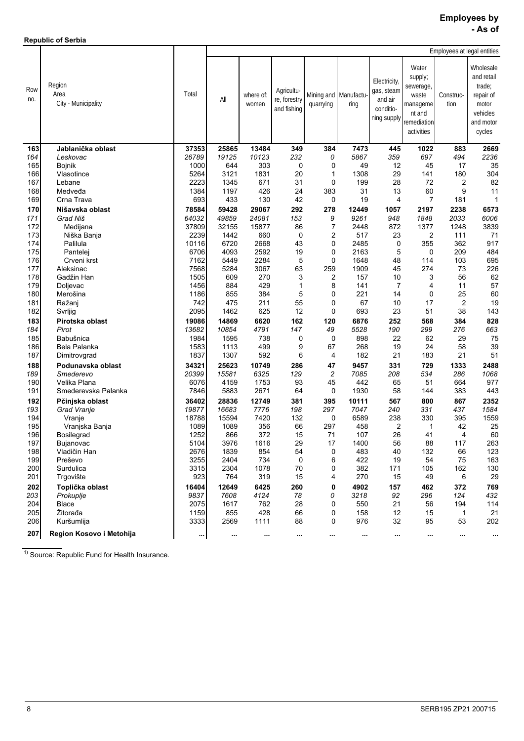| <b>Republic of Serbia</b> |  |
|---------------------------|--|
|                           |  |

|            |                                       | Employees at legal entities |               |                    |                                           |                     |                               |                                                                   |                                                                                           |                   |                                                                                            |  |
|------------|---------------------------------------|-----------------------------|---------------|--------------------|-------------------------------------------|---------------------|-------------------------------|-------------------------------------------------------------------|-------------------------------------------------------------------------------------------|-------------------|--------------------------------------------------------------------------------------------|--|
| Row<br>no. | Region<br>Area<br>City - Municipality | Total                       | All           | where of:<br>women | Agricultu-<br>re, forestry<br>and fishing | quarrying           | Mining and Manufactu-<br>ring | Electricity,<br>gas, steam<br>and air<br>conditio-<br>ning supply | Water<br>supply;<br>sewerage,<br>waste<br>manageme<br>nt and<br>remediation<br>activities | Construc-<br>tion | Wholesale<br>and retail<br>trade:<br>repair of<br>motor<br>vehicles<br>and motor<br>cycles |  |
| 163        | Jablanička oblast                     | 37353                       | 25865         | 13484              | 349                                       | 384                 | 7473                          | 445                                                               | 1022                                                                                      | 883               | 2669                                                                                       |  |
| 164        | Leskovac                              | 26789                       | 19125         | 10123              | 232                                       | 0                   | 5867                          | 359                                                               | 697                                                                                       | 494               | 2236                                                                                       |  |
| 165        | <b>Bojnik</b>                         | 1000                        | 644           | 303                | 0                                         | 0                   | 49                            | 12                                                                | 45                                                                                        | 17                | 35                                                                                         |  |
| 166        | Vlasotince                            | 5264                        | 3121          | 1831               | 20                                        | 1                   | 1308                          | 29                                                                | 141                                                                                       | 180               | 304                                                                                        |  |
| 167        | Lebane                                | 2223                        | 1345          | 671                | 31                                        | 0                   | 199                           | 28                                                                | 72                                                                                        | 2                 | 82                                                                                         |  |
| 168        | Medveđa                               | 1384                        | 1197          | 426                | 24                                        | 383                 | 31                            | 13                                                                | 60                                                                                        | 9                 | 11                                                                                         |  |
| 169        | Crna Trava                            | 693                         | 433           | 130                | 42                                        | 0                   | 19                            | 4                                                                 | $\overline{7}$                                                                            | 181               | 1                                                                                          |  |
| 170        | Nišavska oblast                       | 78584                       | 59428         | 29067              | 292                                       | 278                 | 12449                         | 1057                                                              | 2197                                                                                      | 2238              | 6573                                                                                       |  |
| 171        | Grad Niš                              | 64032                       | 49859         | 24081              | 153                                       | 9                   | 9261                          | 948                                                               | 1848                                                                                      | 2033              | 6006                                                                                       |  |
| 172<br>173 | Medijana<br>Niška Banja               | 37809<br>2239               | 32155<br>1442 | 15877<br>660       | 86<br>0                                   | $\overline{7}$<br>2 | 2448<br>517                   | 872<br>23                                                         | 1377<br>2                                                                                 | 1248<br>111       | 3839<br>71                                                                                 |  |
| 174        | Palilula                              | 10116                       | 6720          | 2668               | 43                                        | 0                   | 2485                          | 0                                                                 | 355                                                                                       | 362               | 917                                                                                        |  |
| 175        | Pantelej                              | 6706                        | 4093          | 2592               | 19                                        | 0                   | 2163                          | 5                                                                 | 0                                                                                         | 209               | 484                                                                                        |  |
| 176        | Crveni krst                           | 7162                        | 5449          | 2284               | 5                                         | 0                   | 1648                          | 48                                                                | 114                                                                                       | 103               | 695                                                                                        |  |
| 177        | Aleksinac                             | 7568                        | 5284          | 3067               | 63                                        | 259                 | 1909                          | 45                                                                | 274                                                                                       | 73                | 226                                                                                        |  |
| 178        | Gadžin Han                            | 1505                        | 609           | 270                | 3                                         | 2                   | 157                           | 10                                                                | 3                                                                                         | 56                | 62                                                                                         |  |
| 179        | Doljevac                              | 1456                        | 884           | 429                | $\mathbf{1}$                              | 8                   | 141                           | $\overline{7}$                                                    | 4                                                                                         | 11                | 57                                                                                         |  |
| 180        | Merošina                              | 1186                        | 855           | 384                | 5                                         | 0                   | 221                           | 14                                                                | 0                                                                                         | 25                | 60                                                                                         |  |
| 181        | Ražanj                                | 742                         | 475           | 211                | 55                                        | 0                   | 67                            | 10                                                                | 17                                                                                        | 2                 | 19                                                                                         |  |
| 182        | Svrljig                               | 2095                        | 1462          | 625                | 12                                        | 0                   | 693                           | 23                                                                | 51                                                                                        | 38                | 143                                                                                        |  |
| 183        | Pirotska oblast                       | 19086                       | 14869         | 6620               | 162                                       | 120                 | 6876                          | 252                                                               | 568                                                                                       | 384               | 828                                                                                        |  |
| 184        | Pirot                                 | 13682                       | 10854         | 4791               | 147                                       | 49                  | 5528                          | 190                                                               | 299                                                                                       | 276               | 663                                                                                        |  |
| 185        | Babušnica                             | 1984                        | 1595          | 738                | 0                                         | 0                   | 898                           | 22<br>19                                                          | 62<br>24                                                                                  | 29<br>58          | 75<br>39                                                                                   |  |
| 186<br>187 | Bela Palanka<br>Dimitrovgrad          | 1583<br>1837                | 1113<br>1307  | 499<br>592         | 9<br>6                                    | 67<br>4             | 268<br>182                    | 21                                                                | 183                                                                                       | 21                | 51                                                                                         |  |
| 188        | Podunavska oblast                     | 34321                       | 25623         | 10749              | 286                                       | 47                  | 9457                          | 331                                                               | 729                                                                                       | 1333              | 2488                                                                                       |  |
| 189        | Smederevo                             | 20399                       | 15581         | 6325               | 129                                       | 2                   | 7085                          | 208                                                               | 534                                                                                       | 286               | 1068                                                                                       |  |
| 190        | Velika Plana                          | 6076                        | 4159          | 1753               | 93                                        | 45                  | 442                           | 65                                                                | 51                                                                                        | 664               | 977                                                                                        |  |
| 191        | Smederevska Palanka                   | 7846                        | 5883          | 2671               | 64                                        | 0                   | 1930                          | 58                                                                | 144                                                                                       | 383               | 443                                                                                        |  |
| 192        | Pčinjska oblast                       | 36402                       | 28836         | 12749              | 381                                       | 395                 | 10111                         | 567                                                               | 800                                                                                       | 867               | 2352                                                                                       |  |
| 193        | Grad Vranje                           | 19877                       | 16683         | 7776               | 198                                       | 297                 | 7047                          | 240                                                               | 331                                                                                       | 437               | 1584                                                                                       |  |
| 194        | Vranje                                | 18788                       | 15594         | 7420               | 132                                       | 0                   | 6589                          | 238                                                               | 330                                                                                       | 395               | 1559                                                                                       |  |
| 195        | Vranjska Banja                        | 1089                        | 1089          | 356                | 66                                        | 297                 | 458                           | 2                                                                 | 1                                                                                         | 42                | 25                                                                                         |  |
| 196<br>197 | <b>Bosilegrad</b>                     | 1252                        | 866           | 372                | 15                                        | 71                  | 107                           | 26                                                                | 41                                                                                        | 4                 | 60                                                                                         |  |
| 198        | Bujanovac<br>Vladičin Han             | 5104<br>2676                | 3976<br>1839  | 1616<br>854        | 29<br>54                                  | 17<br>0             | 1400<br>483                   | 56<br>40                                                          | 88<br>132                                                                                 | 117<br>66         | 263<br>123                                                                                 |  |
| 199        | Preševo                               | 3255                        | 2404          | 734                | 0                                         | 6                   | 422                           | 19                                                                | 54                                                                                        | 75                | 163                                                                                        |  |
| 200        | Surdulica                             | 3315                        | 2304          | 1078               | 70                                        | 0                   | 382                           | 171                                                               | 105                                                                                       | 162               | 130                                                                                        |  |
| 201        | Trgovište                             | 923                         | 764           | 319                | 15                                        | 4                   | 270                           | 15                                                                | 49                                                                                        | 6                 | 29                                                                                         |  |
| 202        | Toplička oblast                       | 16404                       | 12649         | 6425               | 260                                       | 0                   | 4902                          | 157                                                               | 462                                                                                       | 372               | 769                                                                                        |  |
| 203        | Prokuplie                             | 9837                        | 7608          | 4124               | 78                                        | 0                   | 3218                          | 92                                                                | 296                                                                                       | 124               | 432                                                                                        |  |
| 204        | <b>Blace</b>                          | 2075                        | 1617          | 762                | 28                                        | 0                   | 550                           | 21                                                                | 56                                                                                        | 194               | 114                                                                                        |  |
| 205        | Žitorađa                              | 1159                        | 855           | 428                | 66                                        | 0                   | 158                           | 12                                                                | 15                                                                                        | $\mathbf{1}$      | 21                                                                                         |  |
| 206        | Kuršumlija                            | 3333                        | 2569          | 1111               | 88                                        | 0                   | 976                           | 32                                                                | 95                                                                                        | 53                | 202                                                                                        |  |
| 207        | Region Kosovo i Metohija              | $\cdots$                    | $\cdots$      | $\cdots$           | $\cdots$                                  | œ.                  | $\cdots$                      | $\cdots$                                                          | $\cdots$                                                                                  | $\cdots$          | $\cdots$                                                                                   |  |

1) Source: Republic Fund for Health Insurance.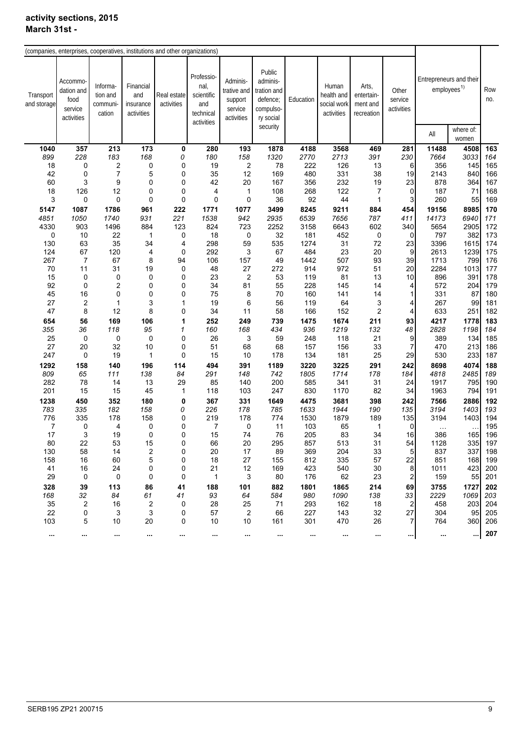| (companies, enterprises, cooperatives, institutions and other organizations) |                                                         |                                           |                                             |                           |                                                                    |                                                             |                                                                         |              |                                                  |                                               |                                |                         |                         |            |
|------------------------------------------------------------------------------|---------------------------------------------------------|-------------------------------------------|---------------------------------------------|---------------------------|--------------------------------------------------------------------|-------------------------------------------------------------|-------------------------------------------------------------------------|--------------|--------------------------------------------------|-----------------------------------------------|--------------------------------|-------------------------|-------------------------|------------|
| Transport<br>and storage                                                     | Accommo-<br>dation and<br>food<br>service<br>activities | Informa-<br>tion and<br>communi<br>cation | Financial<br>and<br>insurance<br>activities | Real estate<br>activities | Professio-<br>nal,<br>scientific<br>and<br>technical<br>activities | Adminis-<br>trative and<br>support<br>service<br>activities | Public<br>adminis-<br>tration and<br>defence;<br>compulso-<br>ry social | Education    | Human<br>health and<br>social work<br>activities | Arts,<br>entertain-<br>ment and<br>recreation | Other<br>service<br>activities | Entrepreneurs and their | employees <sup>1)</sup> | Row<br>no. |
|                                                                              |                                                         |                                           |                                             |                           |                                                                    |                                                             | security                                                                |              |                                                  |                                               |                                | All                     | where of:<br>women      |            |
| 1040                                                                         | 357                                                     | 213                                       | 173                                         | 0                         | 280                                                                | 193                                                         | 1878                                                                    | 4188         | 3568                                             | 469                                           | 281                            | 11488                   | 4508                    | 163        |
| 899                                                                          | 228                                                     | 183                                       | 168                                         | 0                         | 180                                                                | 158                                                         | 1320                                                                    | 2770         | 2713                                             | 391                                           | 230                            | 7664                    | 3033                    | 164        |
| 18                                                                           | 0                                                       | 2                                         | 0                                           | 0                         | 19                                                                 | $\overline{2}$                                              | 78                                                                      | 222          | 126                                              | 13                                            | 6                              | 356                     | 145                     | 165        |
| 42                                                                           | 0                                                       | $\overline{7}$                            | 5                                           | $\pmb{0}$                 | 35                                                                 | 12                                                          | 169                                                                     | 480          | 331                                              | 38                                            | 19                             | 2143                    | 840                     | 166        |
| 60                                                                           | 3                                                       | 9                                         | 0                                           | $\mathbf 0$               | 42                                                                 | 20                                                          | 167                                                                     | 356          | 232                                              | 19                                            | 23                             | 878                     | 364                     | 167        |
| 18                                                                           | 126<br>0                                                | 12<br>0                                   | 0<br>0                                      | 0<br>$\pmb{0}$            | 4<br>0                                                             | 1<br>$\pmb{0}$                                              | 108                                                                     | 268<br>92    | 122                                              | $\overline{7}$                                | $\mathbf 0$<br>3               | 187                     | 71                      | 168<br>169 |
| 3                                                                            |                                                         |                                           |                                             |                           |                                                                    |                                                             | 36                                                                      |              | 44                                               | 1                                             |                                | 260                     | 55                      |            |
| 5147<br>4851                                                                 | 1087                                                    | 1786                                      | 961<br>931                                  | 222                       | 1771<br>1538                                                       | 1077<br>942                                                 | 3499                                                                    | 8245         | 9211                                             | 884<br>787                                    | 454                            | 19156<br>14173          | 8985<br>6940            | 170<br>171 |
| 4330                                                                         | 1050<br>903                                             | 1740<br>1496                              | 884                                         | 221<br>123                | 824                                                                | 723                                                         | 2935<br>2252                                                            | 6539<br>3158 | 7656<br>6643                                     | 602                                           | 411<br>340                     | 5654                    | 2905                    | 172        |
| 0                                                                            | 10                                                      | 22                                        | 1                                           | 0                         | 18                                                                 | 0                                                           | 32                                                                      | 181          | 452                                              | 0                                             | 0                              | 797                     | 382                     | 173        |
| 130                                                                          | 63                                                      | 35                                        | 34                                          | 4                         | 298                                                                | 59                                                          | 535                                                                     | 1274         | 31                                               | 72                                            | 23                             | 3396                    | 1615                    | 174        |
| 124                                                                          | 67                                                      | 120                                       | 4                                           | 0                         | 292                                                                | 3                                                           | 67                                                                      | 484          | 23                                               | 20                                            | 9                              | 2613                    | 1239                    | 175        |
| 267                                                                          | $\overline{7}$                                          | 67                                        | 8                                           | 94                        | 106                                                                | 157                                                         | 49                                                                      | 1442         | 507                                              | 93                                            | 39                             | 1713                    | 799                     | 176        |
| 70                                                                           | 11                                                      | 31                                        | 19                                          | 0                         | 48                                                                 | 27                                                          | 272                                                                     | 914          | 972                                              | 51                                            | 20                             | 2284                    | 1013                    | 177        |
| 15                                                                           | 0                                                       | 0                                         | 0                                           | $\mathbf 0$               | 23                                                                 | $\overline{c}$                                              | 53                                                                      | 119          | 81                                               | 13                                            | 10                             | 896                     | 391                     | 178        |
| 92                                                                           | 0                                                       | 2                                         | 0                                           | $\pmb{0}$                 | 34                                                                 | 81                                                          | 55                                                                      | 228          | 145                                              | 14                                            | 4                              | 572                     | 204                     | 179        |
| 45                                                                           | 16                                                      | 0                                         | 0                                           | $\mathbf 0$               | 75                                                                 | 8                                                           | 70                                                                      | 160          | 141                                              | 14                                            | $\mathbf{1}$                   | 331                     | 87                      | 180        |
| 27                                                                           | $\overline{\mathbf{c}}$                                 | 1                                         | 3                                           | $\mathbf{1}$              | 19                                                                 | 6                                                           | 56                                                                      | 119          | 64                                               | 3                                             | 4                              | 267                     | 99                      | 181        |
| 47                                                                           | 8                                                       | 12                                        | 8                                           | $\mathbf 0$               | 34                                                                 | 11                                                          | 58                                                                      | 166          | 152                                              | 2                                             | 4                              | 633                     | 251                     | 182        |
| 654                                                                          | 56                                                      | 169                                       | 106                                         | 1                         | 252                                                                | 249                                                         | 739                                                                     | 1475         | 1674                                             | 211                                           | 93                             | 4217                    | 1778                    | 183        |
| 355                                                                          | 36                                                      | 118                                       | 95                                          | $\mathbf{1}$              | 160                                                                | 168                                                         | 434                                                                     | 936          | 1219                                             | 132                                           | 48                             | 2828                    | 1198                    | 184        |
| 25                                                                           | 0                                                       | 0                                         | 0                                           | $\mathbf 0$               | 26                                                                 | 3                                                           | 59                                                                      | 248          | 118                                              | 21                                            | 9                              | 389                     | 134                     | 185        |
| 27                                                                           | 20                                                      | 32                                        | 10                                          | 0                         | 51                                                                 | 68                                                          | 68                                                                      | 157          | 156                                              | 33                                            | $\overline{7}$                 | 470                     | 213                     | 186        |
| 247                                                                          | 0                                                       | 19                                        | $\mathbf{1}$                                | 0                         | 15                                                                 | 10                                                          | 178                                                                     | 134          | 181                                              | 25                                            | 29                             | 530                     | 233                     | 187        |
| 1292                                                                         | 158                                                     | 140                                       | 196                                         | 114                       | 494                                                                | 391                                                         | 1189                                                                    | 3220         | 3225                                             | 291                                           | 242                            | 8698                    | 4074                    | 188        |
| 809                                                                          | 65                                                      | 111                                       | 138                                         | 84                        | 291                                                                | 148                                                         | 742                                                                     | 1805         | 1714                                             | 178                                           | 184                            | 4818                    | 2485                    | 189        |
| 282                                                                          | 78                                                      | 14                                        | 13                                          | 29                        | 85                                                                 | 140                                                         | 200                                                                     | 585          | 341                                              | 31                                            | 24                             | 1917                    | 795                     | 190        |
| 201                                                                          | 15                                                      | 15                                        | 45                                          | $\mathbf{1}$              | 118                                                                | 103                                                         | 247                                                                     | 830          | 1170                                             | 82                                            | 34                             | 1963                    | 794                     | 191        |
| 1238                                                                         | 450                                                     | 352                                       | 180                                         | 0                         | 367                                                                | 331                                                         | 1649                                                                    | 4475         | 3681                                             | 398                                           | 242                            | 7566                    | 2886                    | 192        |
| 783                                                                          | 335                                                     | 182                                       | 158                                         | 0                         | 226                                                                | 178                                                         | 785                                                                     | 1633         | 1944                                             | 190                                           | 135                            | 3194                    | 1403                    | 193        |
| 776                                                                          | 335<br>0                                                | 178<br>4                                  | 158                                         | 0<br>$\mathbf 0$          | 219<br>7                                                           | 178<br>0                                                    | 774                                                                     | 1530         | 1879                                             | 189                                           | 135<br>$\mathbf 0$             | 3194                    | 1403                    | 194<br>195 |
| 7<br>17                                                                      | 3                                                       | 19                                        | 0<br>0                                      | $\mathbf 0$               | 15                                                                 | 74                                                          | 11<br>76                                                                | 103<br>205   | 65<br>83                                         | 1<br>34                                       | 16                             | $\ddotsc$<br>386        | 165                     | 196        |
| 80                                                                           | 22                                                      | 53                                        | 15                                          | 0                         | 66                                                                 | 20                                                          | 295                                                                     | 857          | 513                                              | 31                                            | 54                             | 1128                    | 335                     | 197        |
| 130                                                                          | 58                                                      | 14                                        | $\overline{\mathbf{c}}$                     | 0                         | 20                                                                 | 17                                                          | 89                                                                      | 369          | 204                                              | 33                                            | 5                              | 837                     | 337                     | 198        |
| 158                                                                          | 16                                                      | 60                                        | 5                                           | 0                         | 18                                                                 | 27                                                          | 155                                                                     | 812          | 335                                              | 57                                            | 22                             | 851                     | 168                     | 199        |
| 41                                                                           | 16                                                      | 24                                        | 0                                           | 0                         | 21                                                                 | 12                                                          | 169                                                                     | 423          | 540                                              | 30                                            | 8                              | 1011                    | 423                     | 200        |
| 29                                                                           | 0                                                       | 0                                         | 0                                           | 0                         | 1                                                                  | 3                                                           | 80                                                                      | 176          | 62                                               | 23                                            | $\boldsymbol{2}$               | 159                     | 55                      | 201        |
| 328                                                                          | 39                                                      | 113                                       | 86                                          | 41                        | 188                                                                | 101                                                         | 882                                                                     | 1801         | 1865                                             | 214                                           | 69                             | 3755                    | 1727                    | 202        |
| 168                                                                          | 32                                                      | 84                                        | 61                                          | 41                        | 93                                                                 | 64                                                          | 584                                                                     | 980          | 1090                                             | 138                                           | 33                             | 2229                    | 1069                    | 203        |
| 35                                                                           | 2                                                       | 16                                        | 2                                           | 0                         | 28                                                                 | 25                                                          | 71                                                                      | 293          | 162                                              | 18                                            | $\overline{c}$                 | 458                     | 203                     | 204        |
| 22                                                                           | 0                                                       | 3                                         | 3                                           | 0                         | 57                                                                 | $\overline{c}$                                              | 66                                                                      | 227          | 143                                              | 32                                            | 27                             | 304                     | 95                      | 205        |
| 103                                                                          | 5                                                       | 10                                        | 20                                          | 0                         | 10                                                                 | 10                                                          | 161                                                                     | 301          | 470                                              | 26                                            | 7                              | 764                     | 360                     | 206        |
|                                                                              |                                                         |                                           |                                             |                           |                                                                    |                                                             |                                                                         | $\cdots$     |                                                  |                                               |                                | $\cdots$                |                         | 207        |